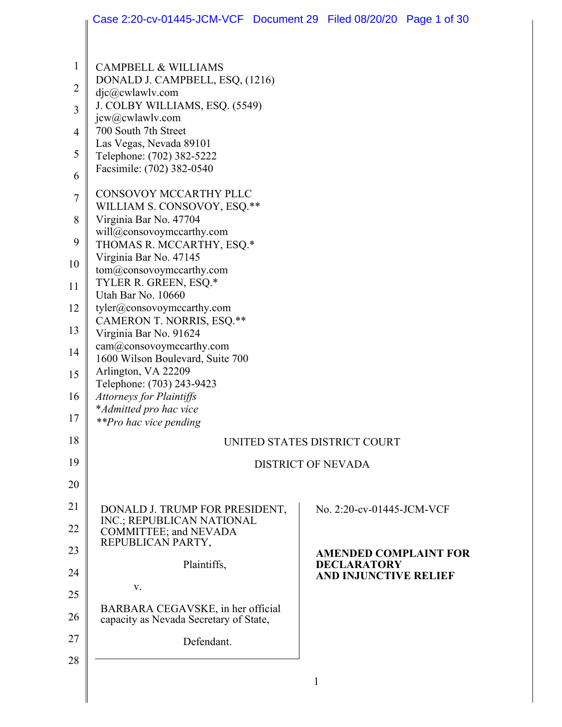|                | Case 2:20-cv-01445-JCM-VCF Document 29 Filed 08/20/20 Page 1 of 30 |   |                                                    |  |
|----------------|--------------------------------------------------------------------|---|----------------------------------------------------|--|
|                |                                                                    |   |                                                    |  |
| $\mathbf{1}$   | <b>CAMPBELL &amp; WILLIAMS</b>                                     |   |                                                    |  |
| $\overline{2}$ | DONALD J. CAMPBELL, ESQ, (1216)<br>djc@cwlawlv.com                 |   |                                                    |  |
| 3              | J. COLBY WILLIAMS, ESQ. (5549)                                     |   |                                                    |  |
|                | jcw@cwlawlv.com<br>700 South 7th Street                            |   |                                                    |  |
| $\overline{4}$ | Las Vegas, Nevada 89101                                            |   |                                                    |  |
| 5              | Telephone: (702) 382-5222<br>Facsimile: (702) 382-0540             |   |                                                    |  |
| 6              |                                                                    |   |                                                    |  |
| $\tau$         | CONSOVOY MCCARTHY PLLC<br>WILLIAM S. CONSOVOY, ESQ.**              |   |                                                    |  |
| 8              | Virginia Bar No. 47704                                             |   |                                                    |  |
| 9              | will@consovoymccarthy.com<br>THOMAS R. MCCARTHY, ESQ.*             |   |                                                    |  |
| 10             | Virginia Bar No. 47145                                             |   |                                                    |  |
|                | tom@consovoymccarthy.com<br>TYLER R. GREEN, ESQ.*                  |   |                                                    |  |
| 11             | Utah Bar No. 10660                                                 |   |                                                    |  |
| 12             | tyler@consovoymccarthy.com                                         |   |                                                    |  |
| 13             | CAMERON T. NORRIS, ESQ.**<br>Virginia Bar No. 91624                |   |                                                    |  |
| 14             | cam@consovoymccarthy.com<br>1600 Wilson Boulevard, Suite 700       |   |                                                    |  |
| 15             | Arlington, VA 22209                                                |   |                                                    |  |
| 16             | Telephone: (703) 243-9423<br><b>Attorneys for Plaintiffs</b>       |   |                                                    |  |
|                | *Admitted pro hac vice                                             |   |                                                    |  |
| 17             | <i>**Pro hac vice pending</i>                                      |   |                                                    |  |
| 18             |                                                                    |   | UNITED STATES DISTRICT COURT                       |  |
| 19             | <b>DISTRICT OF NEVADA</b>                                          |   |                                                    |  |
| 20             |                                                                    |   |                                                    |  |
| 21             | DONALD J. TRUMP FOR PRESIDENT,                                     |   | No. 2:20-cv-01445-JCM-VCF                          |  |
| 22             | INC.; REPUBLICAN NATIONAL<br><b>COMMITTEE; and NEVADA</b>          |   |                                                    |  |
| 23             | REPUBLICAN PARTY,                                                  |   |                                                    |  |
| 24             | Plaintiffs,                                                        |   | <b>AMENDED COMPLAINT FOR</b><br><b>DECLARATORY</b> |  |
| 25             | V.                                                                 |   | <b>AND INJUNCTIVE RELIEF</b>                       |  |
|                | BARBARA CEGAVSKE, in her official                                  |   |                                                    |  |
| 26             | capacity as Nevada Secretary of State,                             |   |                                                    |  |
| 27             | Defendant.                                                         |   |                                                    |  |
| 28             |                                                                    |   |                                                    |  |
|                |                                                                    | 1 |                                                    |  |
|                |                                                                    |   |                                                    |  |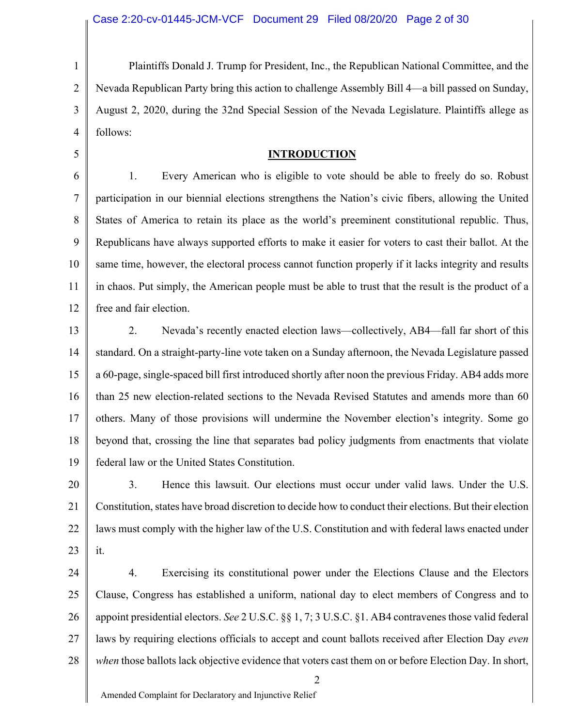5

1 2 3 4 Plaintiffs Donald J. Trump for President, Inc., the Republican National Committee, and the Nevada Republican Party bring this action to challenge Assembly Bill 4—a bill passed on Sunday, August 2, 2020, during the 32nd Special Session of the Nevada Legislature. Plaintiffs allege as follows:

#### **INTRODUCTION**

6 7 8 9 10 11 12 1. Every American who is eligible to vote should be able to freely do so. Robust participation in our biennial elections strengthens the Nation's civic fibers, allowing the United States of America to retain its place as the world's preeminent constitutional republic. Thus, Republicans have always supported efforts to make it easier for voters to cast their ballot. At the same time, however, the electoral process cannot function properly if it lacks integrity and results in chaos. Put simply, the American people must be able to trust that the result is the product of a free and fair election.

13 14 15 16 17 18 19 2. Nevada's recently enacted election laws—collectively, AB4—fall far short of this standard. On a straight-party-line vote taken on a Sunday afternoon, the Nevada Legislature passed a 60-page, single-spaced bill first introduced shortly after noon the previous Friday. AB4 adds more than 25 new election-related sections to the Nevada Revised Statutes and amends more than 60 others. Many of those provisions will undermine the November election's integrity. Some go beyond that, crossing the line that separates bad policy judgments from enactments that violate federal law or the United States Constitution.

20 21 22 23 3. Hence this lawsuit. Our elections must occur under valid laws. Under the U.S. Constitution, states have broad discretion to decide how to conduct their elections. But their election laws must comply with the higher law of the U.S. Constitution and with federal laws enacted under it.

24 25 26 27 28 4. Exercising its constitutional power under the Elections Clause and the Electors Clause, Congress has established a uniform, national day to elect members of Congress and to appoint presidential electors. *See* 2 U.S.C. §§ 1, 7; 3 U.S.C. §1. AB4 contravenes those valid federal laws by requiring elections officials to accept and count ballots received after Election Day *even when* those ballots lack objective evidence that voters cast them on or before Election Day. In short,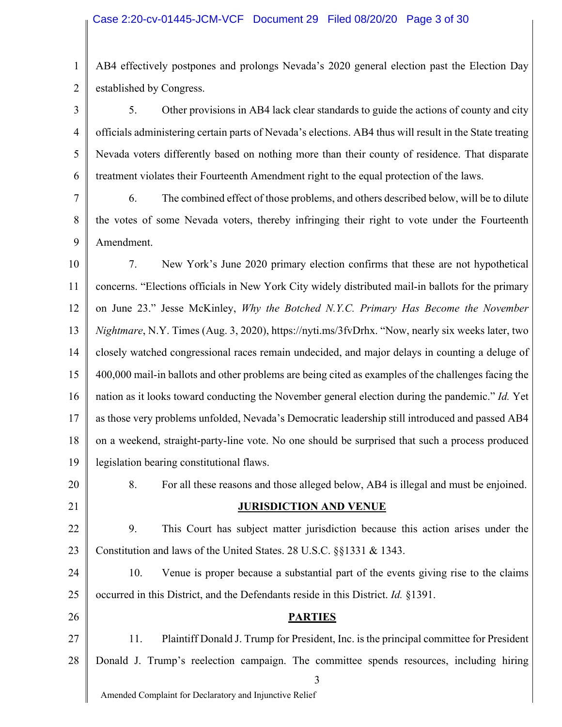1 2 AB4 effectively postpones and prolongs Nevada's 2020 general election past the Election Day established by Congress.

3 4 5 6 5. Other provisions in AB4 lack clear standards to guide the actions of county and city officials administering certain parts of Nevada's elections. AB4 thus will result in the State treating Nevada voters differently based on nothing more than their county of residence. That disparate treatment violates their Fourteenth Amendment right to the equal protection of the laws.

7 8 9 6. The combined effect of those problems, and others described below, will be to dilute the votes of some Nevada voters, thereby infringing their right to vote under the Fourteenth Amendment.

10 11 12 13 14 15 16 17 18 19 7. New York's June 2020 primary election confirms that these are not hypothetical concerns. "Elections officials in New York City widely distributed mail-in ballots for the primary on June 23." Jesse McKinley, *Why the Botched N.Y.C. Primary Has Become the November Nightmare*, N.Y. Times (Aug. 3, 2020), https://nyti.ms/3fvDrhx. "Now, nearly six weeks later, two closely watched congressional races remain undecided, and major delays in counting a deluge of 400,000 mail-in ballots and other problems are being cited as examples of the challenges facing the nation as it looks toward conducting the November general election during the pandemic." *Id.* Yet as those very problems unfolded, Nevada's Democratic leadership still introduced and passed AB4 on a weekend, straight-party-line vote. No one should be surprised that such a process produced legislation bearing constitutional flaws.

20 21

### **JURISDICTION AND VENUE**

8. For all these reasons and those alleged below, AB4 is illegal and must be enjoined.

22 23 9. This Court has subject matter jurisdiction because this action arises under the Constitution and laws of the United States. 28 U.S.C. §§1331 & 1343.

24 25 10. Venue is proper because a substantial part of the events giving rise to the claims occurred in this District, and the Defendants reside in this District. *Id.* §1391.

26

# **PARTIES**

27 28 11. Plaintiff Donald J. Trump for President, Inc. is the principal committee for President Donald J. Trump's reelection campaign. The committee spends resources, including hiring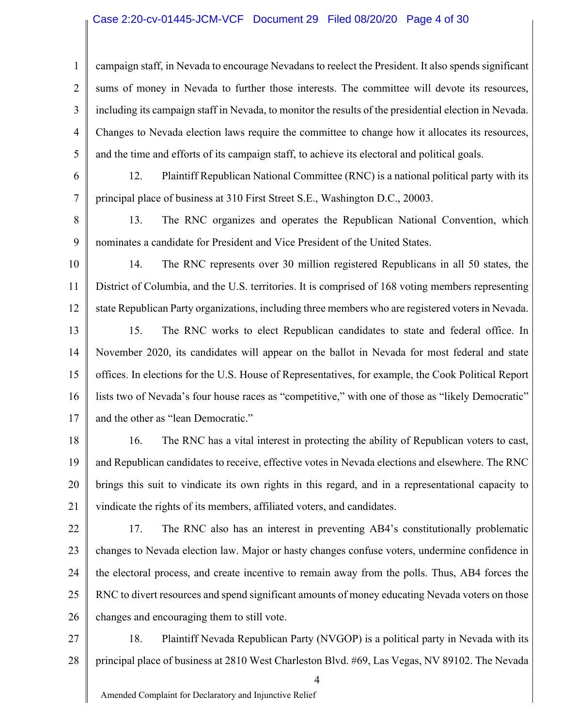#### Case 2:20-cv-01445-JCM-VCF Document 29 Filed 08/20/20 Page 4 of 30

1

2

3

4

5

6

7

campaign staff, in Nevada to encourage Nevadans to reelect the President. It also spends significant sums of money in Nevada to further those interests. The committee will devote its resources, including its campaign staff in Nevada, to monitor the results of the presidential election in Nevada. Changes to Nevada election laws require the committee to change how it allocates its resources, and the time and efforts of its campaign staff, to achieve its electoral and political goals.

12. Plaintiff Republican National Committee (RNC) is a national political party with its principal place of business at 310 First Street S.E., Washington D.C., 20003.

8 9 13. The RNC organizes and operates the Republican National Convention, which nominates a candidate for President and Vice President of the United States.

10 11 12 14. The RNC represents over 30 million registered Republicans in all 50 states, the District of Columbia, and the U.S. territories. It is comprised of 168 voting members representing state Republican Party organizations, including three members who are registered voters in Nevada.

13 14 15 16 17 15. The RNC works to elect Republican candidates to state and federal office. In November 2020, its candidates will appear on the ballot in Nevada for most federal and state offices. In elections for the U.S. House of Representatives, for example, the Cook Political Report lists two of Nevada's four house races as "competitive," with one of those as "likely Democratic" and the other as "lean Democratic."

18 19 20 21 16. The RNC has a vital interest in protecting the ability of Republican voters to cast, and Republican candidates to receive, effective votes in Nevada elections and elsewhere. The RNC brings this suit to vindicate its own rights in this regard, and in a representational capacity to vindicate the rights of its members, affiliated voters, and candidates.

22 23 24 25 26 17. The RNC also has an interest in preventing AB4's constitutionally problematic changes to Nevada election law. Major or hasty changes confuse voters, undermine confidence in the electoral process, and create incentive to remain away from the polls. Thus, AB4 forces the RNC to divert resources and spend significant amounts of money educating Nevada voters on those changes and encouraging them to still vote.

27 28 18. Plaintiff Nevada Republican Party (NVGOP) is a political party in Nevada with its principal place of business at 2810 West Charleston Blvd. #69, Las Vegas, NV 89102. The Nevada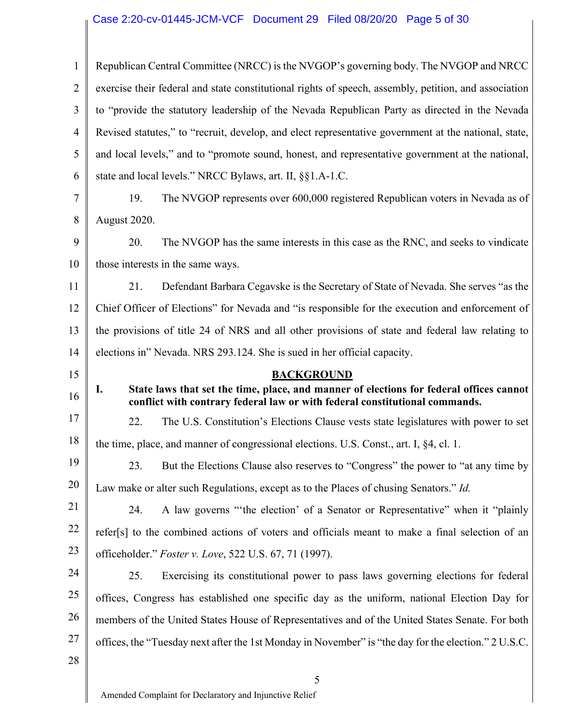# Case 2:20-cv-01445-JCM-VCF Document 29 Filed 08/20/20 Page 5 of 30

| $\mathbf{1}$                                             | Republican Central Committee (NRCC) is the NVGOP's governing body. The NVGOP and NRCC                                                                                        |  |  |
|----------------------------------------------------------|------------------------------------------------------------------------------------------------------------------------------------------------------------------------------|--|--|
| $\overline{2}$                                           | exercise their federal and state constitutional rights of speech, assembly, petition, and association                                                                        |  |  |
| 3                                                        | to "provide the statutory leadership of the Nevada Republican Party as directed in the Nevada                                                                                |  |  |
| 4                                                        | Revised statutes," to "recruit, develop, and elect representative government at the national, state,                                                                         |  |  |
| 5                                                        | and local levels," and to "promote sound, honest, and representative government at the national,                                                                             |  |  |
| 6                                                        | state and local levels." NRCC Bylaws, art. II, §§1.A-1.C.                                                                                                                    |  |  |
| 7                                                        | The NVGOP represents over 600,000 registered Republican voters in Nevada as of<br>19.                                                                                        |  |  |
| 8                                                        | August 2020.                                                                                                                                                                 |  |  |
| 9                                                        | 20.<br>The NVGOP has the same interests in this case as the RNC, and seeks to vindicate                                                                                      |  |  |
| 10                                                       | those interests in the same ways.                                                                                                                                            |  |  |
| 11                                                       | 21.<br>Defendant Barbara Cegavske is the Secretary of State of Nevada. She serves "as the                                                                                    |  |  |
| 12                                                       | Chief Officer of Elections" for Nevada and "is responsible for the execution and enforcement of                                                                              |  |  |
| 13                                                       | the provisions of title 24 of NRS and all other provisions of state and federal law relating to                                                                              |  |  |
| 14                                                       | elections in" Nevada. NRS 293.124. She is sued in her official capacity.                                                                                                     |  |  |
| 15                                                       | <b>BACKGROUND</b>                                                                                                                                                            |  |  |
|                                                          |                                                                                                                                                                              |  |  |
| 16                                                       | State laws that set the time, place, and manner of elections for federal offices cannot<br>I.<br>conflict with contrary federal law or with federal constitutional commands. |  |  |
| 17                                                       | 22.<br>The U.S. Constitution's Elections Clause vests state legislatures with power to set                                                                                   |  |  |
|                                                          | the time, place, and manner of congressional elections. U.S. Const., art. I, §4, cl. 1.                                                                                      |  |  |
|                                                          | 23. But the Elections Clause also reserves to "Congress" the power to "at any time by                                                                                        |  |  |
|                                                          | Law make or alter such Regulations, except as to the Places of chusing Senators." Id.                                                                                        |  |  |
|                                                          | 24.<br>A law governs "the election' of a Senator or Representative" when it "plainly                                                                                         |  |  |
|                                                          | refer[s] to the combined actions of voters and officials meant to make a final selection of an                                                                               |  |  |
|                                                          | officeholder." Foster v. Love, 522 U.S. 67, 71 (1997).                                                                                                                       |  |  |
|                                                          | Exercising its constitutional power to pass laws governing elections for federal<br>25.                                                                                      |  |  |
|                                                          | offices, Congress has established one specific day as the uniform, national Election Day for                                                                                 |  |  |
|                                                          | members of the United States House of Representatives and of the United States Senate. For both                                                                              |  |  |
| 18<br>19<br>20<br>21<br>22<br>23<br>24<br>25<br>26<br>27 | offices, the "Tuesday next after the 1st Monday in November" is "the day for the election." 2 U.S.C.                                                                         |  |  |
| 28                                                       |                                                                                                                                                                              |  |  |
|                                                          | 5<br>Amended Complaint for Declaratory and Injunctive Relief                                                                                                                 |  |  |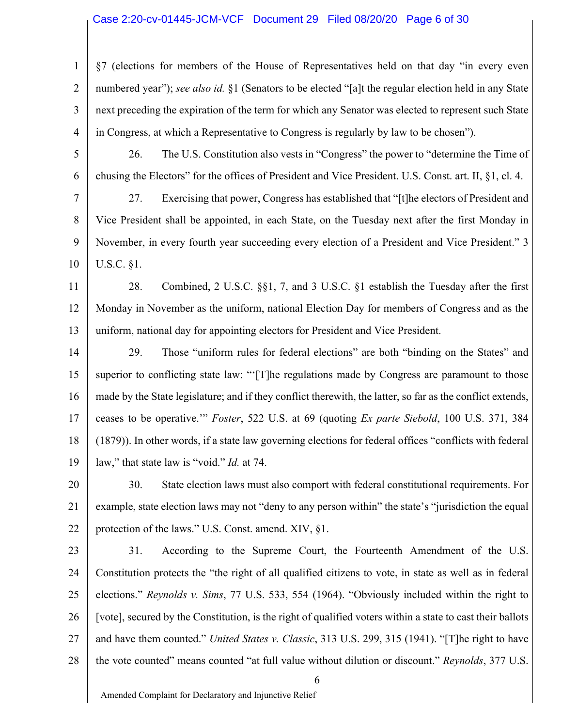#### Case 2:20-cv-01445-JCM-VCF Document 29 Filed 08/20/20 Page 6 of 30

2 3 4 §7 (elections for members of the House of Representatives held on that day "in every even numbered year"); *see also id.* §1 (Senators to be elected "[a]t the regular election held in any State next preceding the expiration of the term for which any Senator was elected to represent such State in Congress, at which a Representative to Congress is regularly by law to be chosen").

5 6 26. The U.S. Constitution also vests in "Congress" the power to "determine the Time of chusing the Electors" for the offices of President and Vice President. U.S. Const. art. II, §1, cl. 4.

7 8 9 10 27. Exercising that power, Congress has established that "[t]he electors of President and Vice President shall be appointed, in each State, on the Tuesday next after the first Monday in November, in every fourth year succeeding every election of a President and Vice President." 3 U.S.C. §1.

11 12 13 28. Combined, 2 U.S.C. §§1, 7, and 3 U.S.C. §1 establish the Tuesday after the first Monday in November as the uniform, national Election Day for members of Congress and as the uniform, national day for appointing electors for President and Vice President.

14 15 16 17 18 19 29. Those "uniform rules for federal elections" are both "binding on the States" and superior to conflicting state law: "'[T]he regulations made by Congress are paramount to those made by the State legislature; and if they conflict therewith, the latter, so far as the conflict extends, ceases to be operative.'" *Foster*, 522 U.S. at 69 (quoting *Ex parte Siebold*, 100 U.S. 371, 384 (1879)). In other words, if a state law governing elections for federal offices "conflicts with federal law," that state law is "void." *Id.* at 74.

20 21 22 30. State election laws must also comport with federal constitutional requirements. For example, state election laws may not "deny to any person within" the state's "jurisdiction the equal protection of the laws." U.S. Const. amend. XIV, §1.

23

1

24 25 26 27 28 31. According to the Supreme Court, the Fourteenth Amendment of the U.S. Constitution protects the "the right of all qualified citizens to vote, in state as well as in federal elections." *Reynolds v. Sims*, 77 U.S. 533, 554 (1964). "Obviously included within the right to [vote], secured by the Constitution, is the right of qualified voters within a state to cast their ballots and have them counted." *United States v. Classic*, 313 U.S. 299, 315 (1941). "[T]he right to have the vote counted" means counted "at full value without dilution or discount." *Reynolds*, 377 U.S.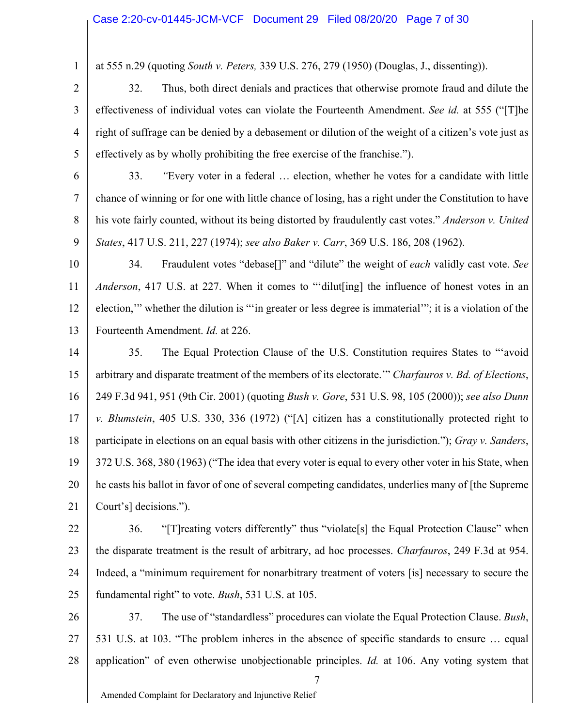at 555 n.29 (quoting *South v. Peters,* 339 U.S. 276, 279 (1950) (Douglas, J., dissenting)).

2

1

3

4

5

32. Thus, both direct denials and practices that otherwise promote fraud and dilute the effectiveness of individual votes can violate the Fourteenth Amendment. *See id.* at 555 ("[T]he right of suffrage can be denied by a debasement or dilution of the weight of a citizen's vote just as effectively as by wholly prohibiting the free exercise of the franchise.").

6 7 8 9 33. *"*Every voter in a federal … election, whether he votes for a candidate with little chance of winning or for one with little chance of losing, has a right under the Constitution to have his vote fairly counted, without its being distorted by fraudulently cast votes." *Anderson v. United States*, 417 U.S. 211, 227 (1974); *see also Baker v. Carr*, 369 U.S. 186, 208 (1962).

10

11

12 13 34. Fraudulent votes "debase[]" and "dilute" the weight of *each* validly cast vote. *See Anderson*, 417 U.S. at 227. When it comes to "'dilut[ing] the influence of honest votes in an election,'" whether the dilution is "'in greater or less degree is immaterial'"; it is a violation of the Fourteenth Amendment. *Id.* at 226.

14 15 16 17 18 19 20 21 35. The Equal Protection Clause of the U.S. Constitution requires States to "'avoid arbitrary and disparate treatment of the members of its electorate.'" *Charfauros v. Bd. of Elections*, 249 F.3d 941, 951 (9th Cir. 2001) (quoting *Bush v. Gore*, 531 U.S. 98, 105 (2000)); *see also Dunn v. Blumstein*, 405 U.S. 330, 336 (1972) ("[A] citizen has a constitutionally protected right to participate in elections on an equal basis with other citizens in the jurisdiction."); *Gray v. Sanders*, 372 U.S. 368, 380 (1963) ("The idea that every voter is equal to every other voter in his State, when he casts his ballot in favor of one of several competing candidates, underlies many of [the Supreme Court's] decisions.").

22 23 24 25 36. "[T]reating voters differently" thus "violate[s] the Equal Protection Clause" when the disparate treatment is the result of arbitrary, ad hoc processes. *Charfauros*, 249 F.3d at 954. Indeed, a "minimum requirement for nonarbitrary treatment of voters [is] necessary to secure the fundamental right" to vote. *Bush*, 531 U.S. at 105.

26 27 28 37. The use of "standardless" procedures can violate the Equal Protection Clause. *Bush*, 531 U.S. at 103. "The problem inheres in the absence of specific standards to ensure … equal application" of even otherwise unobjectionable principles. *Id.* at 106. Any voting system that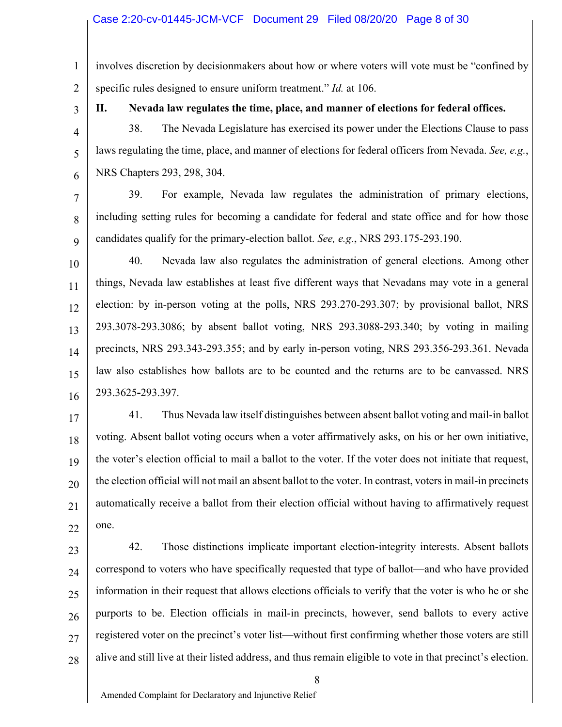### Case 2:20-cv-01445-JCM-VCF Document 29 Filed 08/20/20 Page 8 of 30

1 2 involves discretion by decisionmakers about how or where voters will vote must be "confined by specific rules designed to ensure uniform treatment." *Id.* at 106.

3

4

5

## **II. Nevada law regulates the time, place, and manner of elections for federal offices.**

38. The Nevada Legislature has exercised its power under the Elections Clause to pass laws regulating the time, place, and manner of elections for federal officers from Nevada. *See, e.g.*, NRS Chapters 293, 298, 304.

6 7

8

9

39. For example, Nevada law regulates the administration of primary elections, including setting rules for becoming a candidate for federal and state office and for how those candidates qualify for the primary-election ballot. *See, e.g.*, NRS 293.175-293.190.

10 11 12 13 14 15 16 40. Nevada law also regulates the administration of general elections. Among other things, Nevada law establishes at least five different ways that Nevadans may vote in a general election: by in-person voting at the polls, NRS 293.270-293.307; by provisional ballot, NRS 293.3078-293.3086; by absent ballot voting, NRS 293.3088-293.340; by voting in mailing precincts, NRS 293.343-293.355; and by early in-person voting, NRS 293.356-293.361. Nevada law also establishes how ballots are to be counted and the returns are to be canvassed. NRS 293.3625**-**293.397.

17 18 19 20 21 22 41. Thus Nevada law itself distinguishes between absent ballot voting and mail-in ballot voting. Absent ballot voting occurs when a voter affirmatively asks, on his or her own initiative, the voter's election official to mail a ballot to the voter. If the voter does not initiate that request, the election official will not mail an absent ballot to the voter. In contrast, voters in mail-in precincts automatically receive a ballot from their election official without having to affirmatively request one.

28

42. Those distinctions implicate important election-integrity interests. Absent ballots correspond to voters who have specifically requested that type of ballot—and who have provided information in their request that allows elections officials to verify that the voter is who he or she purports to be. Election officials in mail-in precincts, however, send ballots to every active registered voter on the precinct's voter list—without first confirming whether those voters are still alive and still live at their listed address, and thus remain eligible to vote in that precinct's election.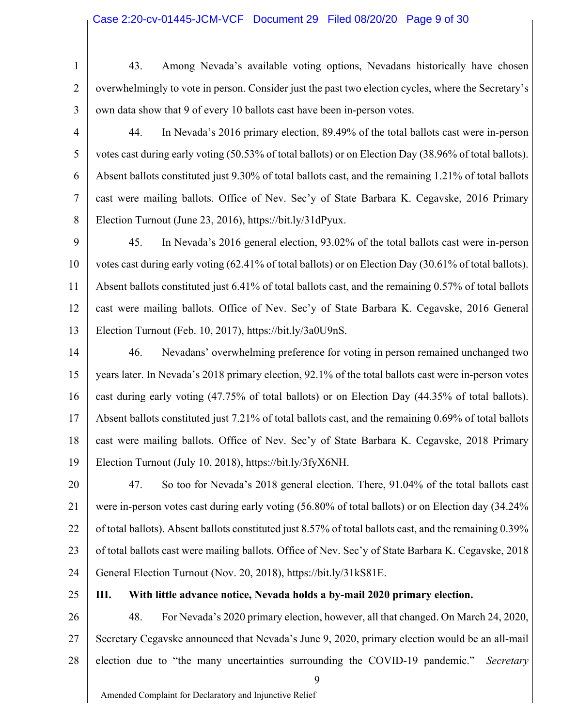### Case 2:20-cv-01445-JCM-VCF Document 29 Filed 08/20/20 Page 9 of 30

1 2

3

4

5

6

7

8

43. Among Nevada's available voting options, Nevadans historically have chosen overwhelmingly to vote in person. Consider just the past two election cycles, where the Secretary's own data show that 9 of every 10 ballots cast have been in-person votes.

44. In Nevada's 2016 primary election, 89.49% of the total ballots cast were in-person votes cast during early voting (50.53% of total ballots) or on Election Day (38.96% of total ballots). Absent ballots constituted just 9.30% of total ballots cast, and the remaining 1.21% of total ballots cast were mailing ballots. Office of Nev. Sec'y of State Barbara K. Cegavske, 2016 Primary Election Turnout (June 23, 2016), https://bit.ly/31dPyux.

9 10 11 12 13 45. In Nevada's 2016 general election, 93.02% of the total ballots cast were in-person votes cast during early voting (62.41% of total ballots) or on Election Day (30.61% of total ballots). Absent ballots constituted just 6.41% of total ballots cast, and the remaining 0.57% of total ballots cast were mailing ballots. Office of Nev. Sec'y of State Barbara K. Cegavske, 2016 General Election Turnout (Feb. 10, 2017), https://bit.ly/3a0U9nS.

14 15 16 17 18 19 46. Nevadans' overwhelming preference for voting in person remained unchanged two years later. In Nevada's 2018 primary election, 92.1% of the total ballots cast were in-person votes cast during early voting (47.75% of total ballots) or on Election Day (44.35% of total ballots). Absent ballots constituted just 7.21% of total ballots cast, and the remaining 0.69% of total ballots cast were mailing ballots. Office of Nev. Sec'y of State Barbara K. Cegavske, 2018 Primary Election Turnout (July 10, 2018), https://bit.ly/3fyX6NH.

20 21 22 23 24 47. So too for Nevada's 2018 general election. There, 91.04% of the total ballots cast were in-person votes cast during early voting (56.80% of total ballots) or on Election day (34.24% of total ballots). Absent ballots constituted just 8.57% of total ballots cast, and the remaining 0.39% of total ballots cast were mailing ballots. Office of Nev. Sec'y of State Barbara K. Cegavske, 2018 General Election Turnout (Nov. 20, 2018), https://bit.ly/31kS81E.

25

**III. With little advance notice, Nevada holds a by-mail 2020 primary election.** 

26 27 28 48. For Nevada's 2020 primary election, however, all that changed. On March 24, 2020, Secretary Cegavske announced that Nevada's June 9, 2020, primary election would be an all-mail election due to "the many uncertainties surrounding the COVID-19 pandemic." *Secretary*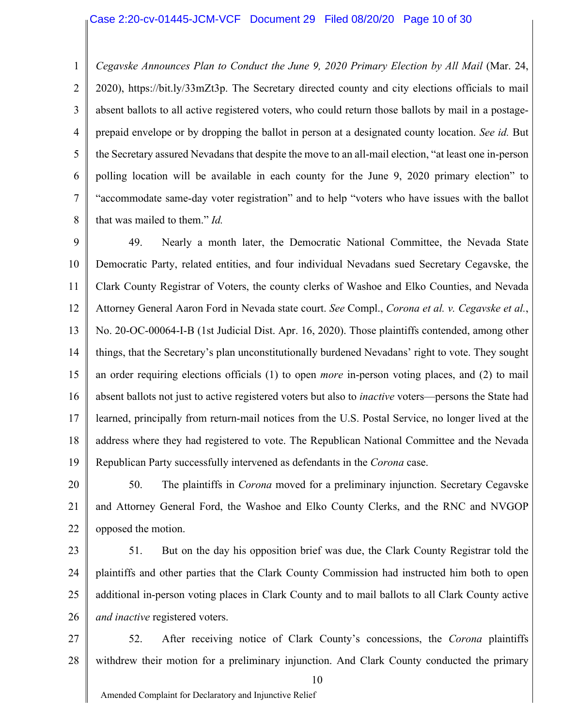#### Case 2:20-cv-01445-JCM-VCF Document 29 Filed 08/20/20 Page 10 of 30

1 2 3 4 5 6 7 8 *Cegavske Announces Plan to Conduct the June 9, 2020 Primary Election by All Mail* (Mar. 24, 2020), https://bit.ly/33mZt3p. The Secretary directed county and city elections officials to mail absent ballots to all active registered voters, who could return those ballots by mail in a postageprepaid envelope or by dropping the ballot in person at a designated county location. *See id.* But the Secretary assured Nevadans that despite the move to an all-mail election, "at least one in-person polling location will be available in each county for the June 9, 2020 primary election" to "accommodate same-day voter registration" and to help "voters who have issues with the ballot that was mailed to them." *Id.*

9 10 11 12 13 14 15 16 17 18 19 49. Nearly a month later, the Democratic National Committee, the Nevada State Democratic Party, related entities, and four individual Nevadans sued Secretary Cegavske, the Clark County Registrar of Voters, the county clerks of Washoe and Elko Counties, and Nevada Attorney General Aaron Ford in Nevada state court. *See* Compl., *Corona et al. v. Cegavske et al.*, No. 20-OC-00064-I-B (1st Judicial Dist. Apr. 16, 2020). Those plaintiffs contended, among other things, that the Secretary's plan unconstitutionally burdened Nevadans' right to vote. They sought an order requiring elections officials (1) to open *more* in-person voting places, and (2) to mail absent ballots not just to active registered voters but also to *inactive* voters—persons the State had learned, principally from return-mail notices from the U.S. Postal Service, no longer lived at the address where they had registered to vote. The Republican National Committee and the Nevada Republican Party successfully intervened as defendants in the *Corona* case.

20 21 22 50. The plaintiffs in *Corona* moved for a preliminary injunction. Secretary Cegavske and Attorney General Ford, the Washoe and Elko County Clerks, and the RNC and NVGOP opposed the motion.

23

24 25 26 51. But on the day his opposition brief was due, the Clark County Registrar told the plaintiffs and other parties that the Clark County Commission had instructed him both to open additional in-person voting places in Clark County and to mail ballots to all Clark County active *and inactive* registered voters.

27 28 52. After receiving notice of Clark County's concessions, the *Corona* plaintiffs withdrew their motion for a preliminary injunction. And Clark County conducted the primary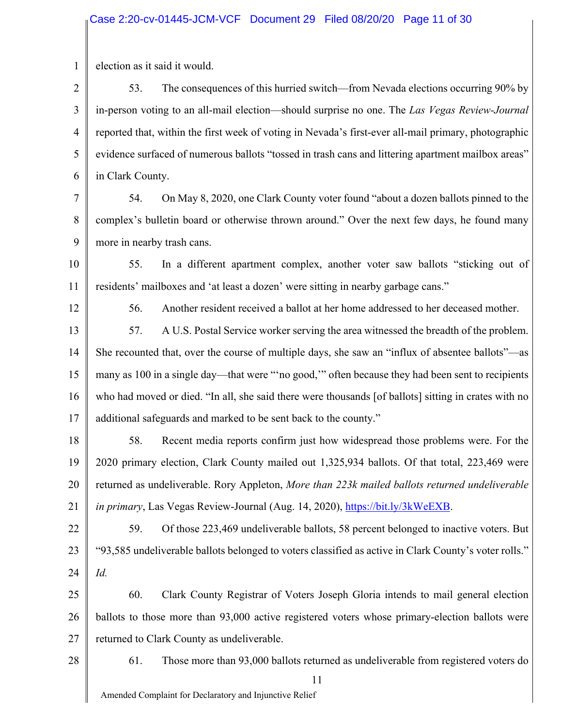1 election as it said it would.

2 3 4 5 6 53. The consequences of this hurried switch—from Nevada elections occurring 90% by in-person voting to an all-mail election—should surprise no one. The *Las Vegas Review-Journal* reported that, within the first week of voting in Nevada's first-ever all-mail primary, photographic evidence surfaced of numerous ballots "tossed in trash cans and littering apartment mailbox areas" in Clark County.

7 8 9 54. On May 8, 2020, one Clark County voter found "about a dozen ballots pinned to the complex's bulletin board or otherwise thrown around." Over the next few days, he found many more in nearby trash cans.

10 11 55. In a different apartment complex, another voter saw ballots "sticking out of residents' mailboxes and 'at least a dozen' were sitting in nearby garbage cans."

12

56. Another resident received a ballot at her home addressed to her deceased mother.

13 14 15 16 17 57. A U.S. Postal Service worker serving the area witnessed the breadth of the problem. She recounted that, over the course of multiple days, she saw an "influx of absentee ballots"—as many as 100 in a single day—that were "'no good,'" often because they had been sent to recipients who had moved or died. "In all, she said there were thousands [of ballots] sitting in crates with no additional safeguards and marked to be sent back to the county."

18 19 20 21 58. Recent media reports confirm just how widespread those problems were. For the 2020 primary election, Clark County mailed out 1,325,934 ballots. Of that total, 223,469 were returned as undeliverable. Rory Appleton, *More than 223k mailed ballots returned undeliverable*  in primary, Las Vegas Review-Journal (Aug. 14, 2020), https://bit.ly/3kWeEXB.

22 23 24 59. Of those 223,469 undeliverable ballots, 58 percent belonged to inactive voters. But "93,585 undeliverable ballots belonged to voters classified as active in Clark County's voter rolls." *Id.*

25 26 27 60. Clark County Registrar of Voters Joseph Gloria intends to mail general election ballots to those more than 93,000 active registered voters whose primary-election ballots were returned to Clark County as undeliverable.

28

61. Those more than 93,000 ballots returned as undeliverable from registered voters do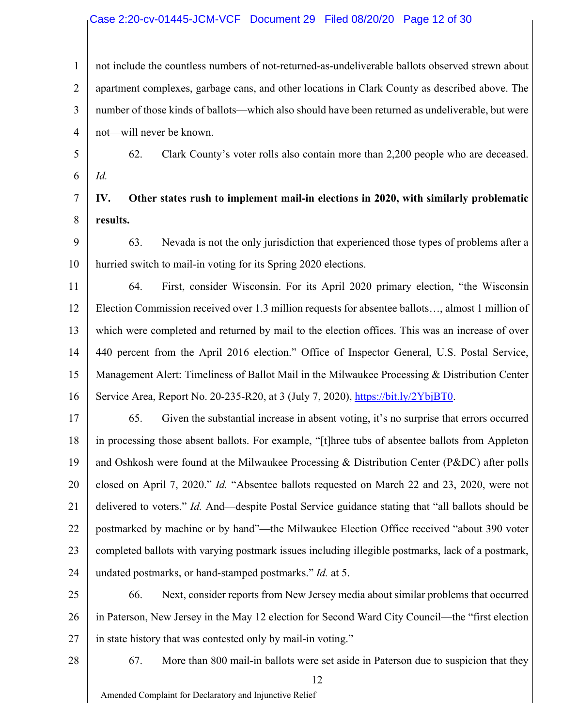#### Case 2:20-cv-01445-JCM-VCF Document 29 Filed 08/20/20 Page 12 of 30

1 2 3 4 not include the countless numbers of not-returned-as-undeliverable ballots observed strewn about apartment complexes, garbage cans, and other locations in Clark County as described above. The number of those kinds of ballots—which also should have been returned as undeliverable, but were not—will never be known.

5 6 62. Clark County's voter rolls also contain more than 2,200 people who are deceased. *Id.*

7 8 **IV. Other states rush to implement mail-in elections in 2020, with similarly problematic results.**

9 10 63. Nevada is not the only jurisdiction that experienced those types of problems after a hurried switch to mail-in voting for its Spring 2020 elections.

11 12 13 14 15 16 64. First, consider Wisconsin. For its April 2020 primary election, "the Wisconsin Election Commission received over 1.3 million requests for absentee ballots…, almost 1 million of which were completed and returned by mail to the election offices. This was an increase of over 440 percent from the April 2016 election." Office of Inspector General, U.S. Postal Service, Management Alert: Timeliness of Ballot Mail in the Milwaukee Processing & Distribution Center Service Area, Report No. 20-235-R20, at 3 (July 7, 2020), https://bit.ly/2YbjBT0.

17 18 19 20 21 22 23 24 65. Given the substantial increase in absent voting, it's no surprise that errors occurred in processing those absent ballots. For example, "[t]hree tubs of absentee ballots from Appleton and Oshkosh were found at the Milwaukee Processing & Distribution Center (P&DC) after polls closed on April 7, 2020." *Id.* "Absentee ballots requested on March 22 and 23, 2020, were not delivered to voters." *Id.* And—despite Postal Service guidance stating that "all ballots should be postmarked by machine or by hand"—the Milwaukee Election Office received "about 390 voter completed ballots with varying postmark issues including illegible postmarks, lack of a postmark, undated postmarks, or hand-stamped postmarks." *Id.* at 5.

25 26 27 66. Next, consider reports from New Jersey media about similar problems that occurred in Paterson, New Jersey in the May 12 election for Second Ward City Council—the "first election in state history that was contested only by mail-in voting."

28

67. More than 800 mail-in ballots were set aside in Paterson due to suspicion that they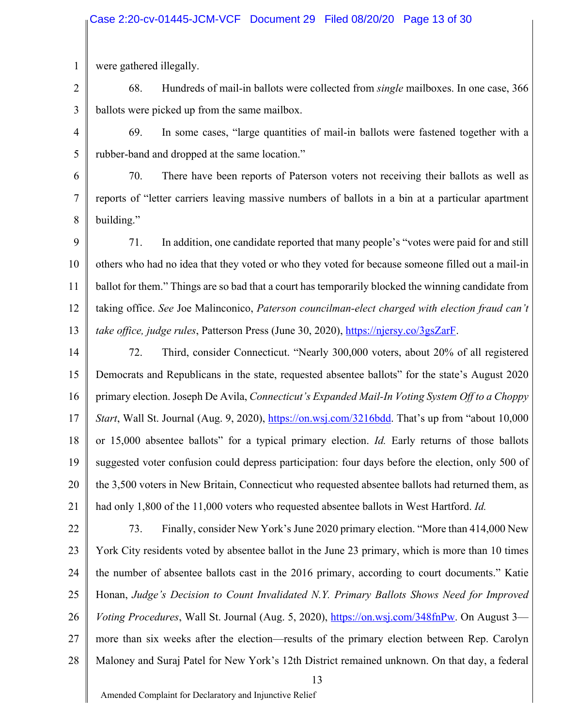1 were gathered illegally.

2 3 68. Hundreds of mail-in ballots were collected from *single* mailboxes. In one case, 366 ballots were picked up from the same mailbox.

4 5 69. In some cases, "large quantities of mail-in ballots were fastened together with a rubber-band and dropped at the same location."

6 7 8 70. There have been reports of Paterson voters not receiving their ballots as well as reports of "letter carriers leaving massive numbers of ballots in a bin at a particular apartment building."

9 10 11 12 13 71. In addition, one candidate reported that many people's "votes were paid for and still others who had no idea that they voted or who they voted for because someone filled out a mail-in ballot for them." Things are so bad that a court has temporarily blocked the winning candidate from taking office. *See* Joe Malinconico, *Paterson councilman-elect charged with election fraud can't take office, judge rules*, Patterson Press (June 30, 2020), https://njersy.co/3gsZarF.

14 15 16 17 18 19 20 21 72. Third, consider Connecticut. "Nearly 300,000 voters, about 20% of all registered Democrats and Republicans in the state, requested absentee ballots" for the state's August 2020 primary election. Joseph De Avila, *Connecticut's Expanded Mail-In Voting System Off to a Choppy Start*, Wall St. Journal (Aug. 9, 2020), https://on.wsj.com/3216bdd. That's up from "about 10,000 or 15,000 absentee ballots" for a typical primary election. *Id.* Early returns of those ballots suggested voter confusion could depress participation: four days before the election, only 500 of the 3,500 voters in New Britain, Connecticut who requested absentee ballots had returned them, as had only 1,800 of the 11,000 voters who requested absentee ballots in West Hartford. *Id.*

22 23 24 25 26 27 28 73. Finally, consider New York's June 2020 primary election. "More than 414,000 New York City residents voted by absentee ballot in the June 23 primary, which is more than 10 times the number of absentee ballots cast in the 2016 primary, according to court documents." Katie Honan, *Judge's Decision to Count Invalidated N.Y. Primary Ballots Shows Need for Improved Voting Procedures*, Wall St. Journal (Aug. 5, 2020), https://on.wsj.com/348fnPw. On August 3 more than six weeks after the election—results of the primary election between Rep. Carolyn Maloney and Suraj Patel for New York's 12th District remained unknown. On that day, a federal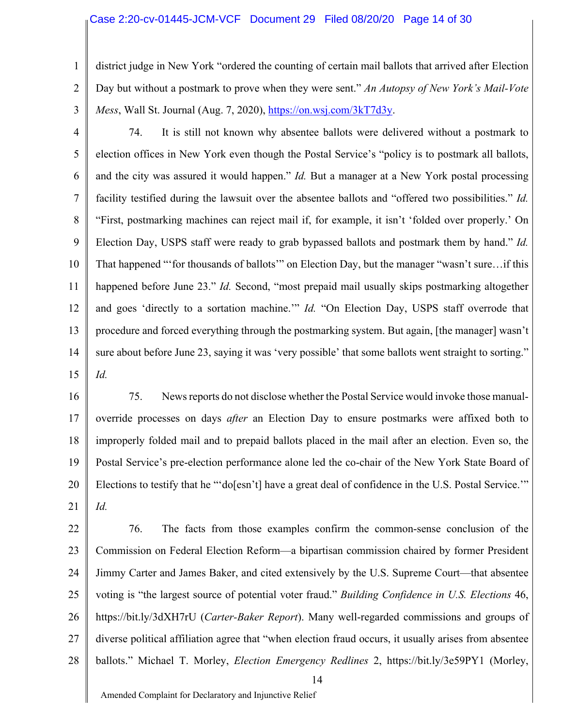### Case 2:20-cv-01445-JCM-VCF Document 29 Filed 08/20/20 Page 14 of 30

2 district judge in New York "ordered the counting of certain mail ballots that arrived after Election Day but without a postmark to prove when they were sent." *An Autopsy of New York's Mail-Vote Mess*, Wall St. Journal (Aug. 7, 2020), https://on.wsj.com/3kT7d3y.

3

1

4 5 6 7 8 9 10 11 12 13 14 15 74. It is still not known why absentee ballots were delivered without a postmark to election offices in New York even though the Postal Service's "policy is to postmark all ballots, and the city was assured it would happen." *Id.* But a manager at a New York postal processing facility testified during the lawsuit over the absentee ballots and "offered two possibilities." *Id.* "First, postmarking machines can reject mail if, for example, it isn't 'folded over properly.' On Election Day, USPS staff were ready to grab bypassed ballots and postmark them by hand." *Id.* That happened "'for thousands of ballots'" on Election Day, but the manager "wasn't sure…if this happened before June 23." *Id.* Second, "most prepaid mail usually skips postmarking altogether and goes 'directly to a sortation machine.'" *Id.* "On Election Day, USPS staff overrode that procedure and forced everything through the postmarking system. But again, [the manager] wasn't sure about before June 23, saying it was 'very possible' that some ballots went straight to sorting." *Id.*

16 17 18 19 20 21 75. News reports do not disclose whether the Postal Service would invoke those manualoverride processes on days *after* an Election Day to ensure postmarks were affixed both to improperly folded mail and to prepaid ballots placed in the mail after an election. Even so, the Postal Service's pre-election performance alone led the co-chair of the New York State Board of Elections to testify that he "'do[esn't] have a great deal of confidence in the U.S. Postal Service.'" *Id.*

22 23 24 25 26 27 28 14 76. The facts from those examples confirm the common-sense conclusion of the Commission on Federal Election Reform—a bipartisan commission chaired by former President Jimmy Carter and James Baker, and cited extensively by the U.S. Supreme Court—that absentee voting is "the largest source of potential voter fraud." *Building Confidence in U.S. Elections* 46, https://bit.ly/3dXH7rU (*Carter-Baker Report*). Many well-regarded commissions and groups of diverse political affiliation agree that "when election fraud occurs, it usually arises from absentee ballots." Michael T. Morley, *Election Emergency Redlines* 2, https://bit.ly/3e59PY1 (Morley,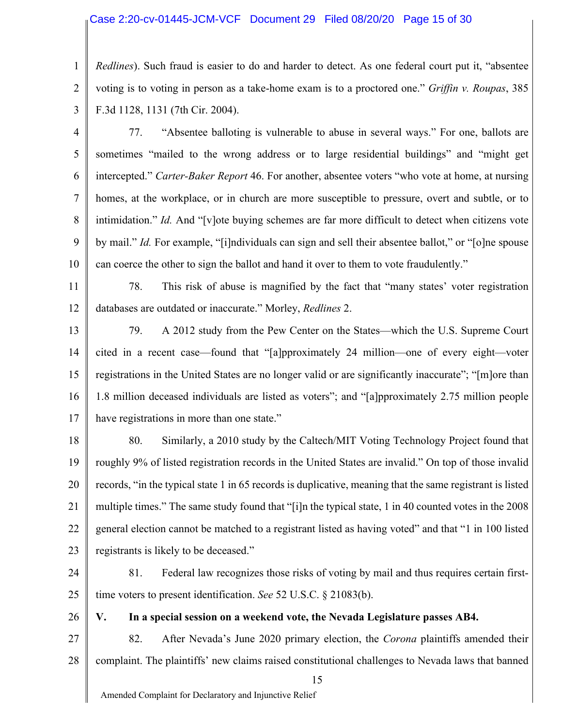### Case 2:20-cv-01445-JCM-VCF Document 29 Filed 08/20/20 Page 15 of 30

1 2 3 *Redlines*). Such fraud is easier to do and harder to detect. As one federal court put it, "absentee voting is to voting in person as a take-home exam is to a proctored one." *Griffin v. Roupas*, 385 F.3d 1128, 1131 (7th Cir. 2004).

- 4 5 6 7 8 9 10 77. "Absentee balloting is vulnerable to abuse in several ways." For one, ballots are sometimes "mailed to the wrong address or to large residential buildings" and "might get intercepted." *Carter-Baker Report* 46. For another, absentee voters "who vote at home, at nursing homes, at the workplace, or in church are more susceptible to pressure, overt and subtle, or to intimidation." *Id.* And "[v]ote buying schemes are far more difficult to detect when citizens vote by mail." *Id.* For example, "[i]ndividuals can sign and sell their absentee ballot," or "[o]ne spouse can coerce the other to sign the ballot and hand it over to them to vote fraudulently."
- 11 12 78. This risk of abuse is magnified by the fact that "many states' voter registration databases are outdated or inaccurate." Morley, *Redlines* 2.
- 13 14 15 16 17 79. A 2012 study from the Pew Center on the States—which the U.S. Supreme Court cited in a recent case—found that "[a]pproximately 24 million—one of every eight—voter registrations in the United States are no longer valid or are significantly inaccurate"; "[m]ore than 1.8 million deceased individuals are listed as voters"; and "[a]pproximately 2.75 million people have registrations in more than one state."
- 18 19 20 21 22 23 80. Similarly, a 2010 study by the Caltech/MIT Voting Technology Project found that roughly 9% of listed registration records in the United States are invalid." On top of those invalid records, "in the typical state 1 in 65 records is duplicative, meaning that the same registrant is listed multiple times." The same study found that "[i]n the typical state, 1 in 40 counted votes in the 2008 general election cannot be matched to a registrant listed as having voted" and that "1 in 100 listed registrants is likely to be deceased."
- 24 25 81. Federal law recognizes those risks of voting by mail and thus requires certain firsttime voters to present identification. *See* 52 U.S.C. § 21083(b).
	- **V. In a special session on a weekend vote, the Nevada Legislature passes AB4.**
- 27 28 82. After Nevada's June 2020 primary election, the *Corona* plaintiffs amended their complaint. The plaintiffs' new claims raised constitutional challenges to Nevada laws that banned

Amended Complaint for Declaratory and Injunctive Relief

26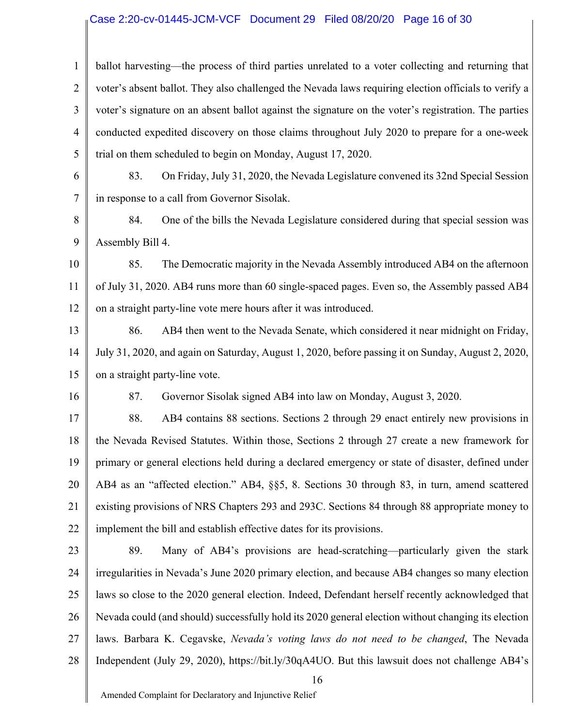### Case 2:20-cv-01445-JCM-VCF Document 29 Filed 08/20/20 Page 16 of 30

1 2 3 4 5 ballot harvesting—the process of third parties unrelated to a voter collecting and returning that voter's absent ballot. They also challenged the Nevada laws requiring election officials to verify a voter's signature on an absent ballot against the signature on the voter's registration. The parties conducted expedited discovery on those claims throughout July 2020 to prepare for a one-week trial on them scheduled to begin on Monday, August 17, 2020.

6 7 83. On Friday, July 31, 2020, the Nevada Legislature convened its 32nd Special Session in response to a call from Governor Sisolak.

8 9 84. One of the bills the Nevada Legislature considered during that special session was Assembly Bill 4.

10 11 12 85. The Democratic majority in the Nevada Assembly introduced AB4 on the afternoon of July 31, 2020. AB4 runs more than 60 single-spaced pages. Even so, the Assembly passed AB4 on a straight party-line vote mere hours after it was introduced.

13 14 15 86. AB4 then went to the Nevada Senate, which considered it near midnight on Friday, July 31, 2020, and again on Saturday, August 1, 2020, before passing it on Sunday, August 2, 2020, on a straight party-line vote.

16

87. Governor Sisolak signed AB4 into law on Monday, August 3, 2020.

17 18 19 20 21 22 88. AB4 contains 88 sections. Sections 2 through 29 enact entirely new provisions in the Nevada Revised Statutes. Within those, Sections 2 through 27 create a new framework for primary or general elections held during a declared emergency or state of disaster, defined under AB4 as an "affected election." AB4, §§5, 8. Sections 30 through 83, in turn, amend scattered existing provisions of NRS Chapters 293 and 293C. Sections 84 through 88 appropriate money to implement the bill and establish effective dates for its provisions.

23 24 25 26 27 28 89. Many of AB4's provisions are head-scratching—particularly given the stark irregularities in Nevada's June 2020 primary election, and because AB4 changes so many election laws so close to the 2020 general election. Indeed, Defendant herself recently acknowledged that Nevada could (and should) successfully hold its 2020 general election without changing its election laws. Barbara K. Cegavske, *Nevada's voting laws do not need to be changed*, The Nevada Independent (July 29, 2020), https://bit.ly/30qA4UO. But this lawsuit does not challenge AB4's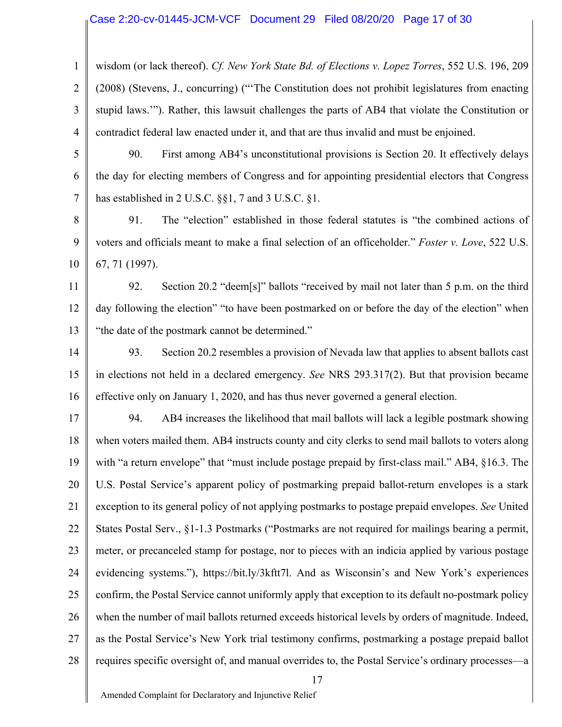### Case 2:20-cv-01445-JCM-VCF Document 29 Filed 08/20/20 Page 17 of 30

1 2 3 4 wisdom (or lack thereof). *Cf. New York State Bd. of Elections v. Lopez Torres*, 552 U.S. 196, 209 (2008) (Stevens, J., concurring) ("'The Constitution does not prohibit legislatures from enacting stupid laws.'"). Rather, this lawsuit challenges the parts of AB4 that violate the Constitution or contradict federal law enacted under it, and that are thus invalid and must be enjoined.

5

6

7

90. First among AB4's unconstitutional provisions is Section 20. It effectively delays the day for electing members of Congress and for appointing presidential electors that Congress has established in 2 U.S.C. §§1, 7 and 3 U.S.C. §1.

8 9 10 91. The "election" established in those federal statutes is "the combined actions of voters and officials meant to make a final selection of an officeholder." *Foster v. Love*, 522 U.S. 67, 71 (1997).

11 12 13 92. Section 20.2 "deem[s]" ballots "received by mail not later than 5 p.m. on the third day following the election" "to have been postmarked on or before the day of the election" when "the date of the postmark cannot be determined."

14 15 16 93. Section 20.2 resembles a provision of Nevada law that applies to absent ballots cast in elections not held in a declared emergency. *See* NRS 293.317(2). But that provision became effective only on January 1, 2020, and has thus never governed a general election.

17 18 19 20 21 22 23 24 25 26 27 28 94. AB4 increases the likelihood that mail ballots will lack a legible postmark showing when voters mailed them. AB4 instructs county and city clerks to send mail ballots to voters along with "a return envelope" that "must include postage prepaid by first-class mail." AB4, §16.3. The U.S. Postal Service's apparent policy of postmarking prepaid ballot-return envelopes is a stark exception to its general policy of not applying postmarks to postage prepaid envelopes. *See* United States Postal Serv., §1-1.3 Postmarks ("Postmarks are not required for mailings bearing a permit, meter, or precanceled stamp for postage, nor to pieces with an indicia applied by various postage evidencing systems."), https://bit.ly/3kftt7l. And as Wisconsin's and New York's experiences confirm, the Postal Service cannot uniformly apply that exception to its default no-postmark policy when the number of mail ballots returned exceeds historical levels by orders of magnitude. Indeed, as the Postal Service's New York trial testimony confirms, postmarking a postage prepaid ballot requires specific oversight of, and manual overrides to, the Postal Service's ordinary processes—a

17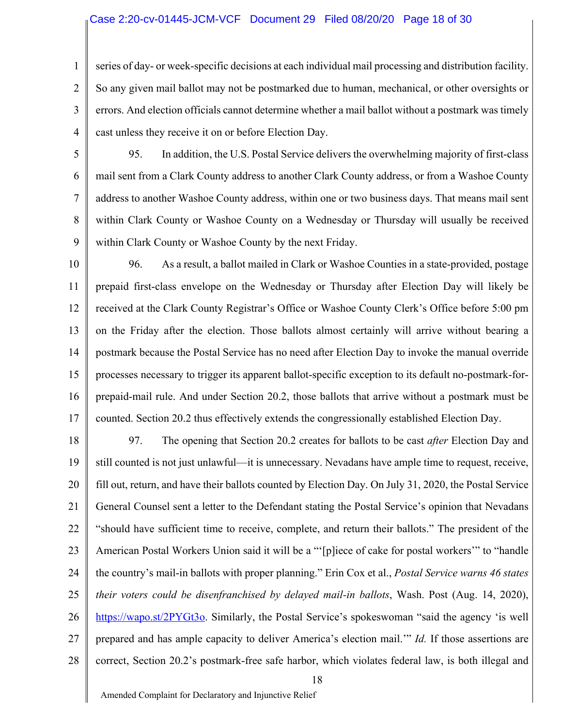### Case 2:20-cv-01445-JCM-VCF Document 29 Filed 08/20/20 Page 18 of 30

3 4 series of day- or week-specific decisions at each individual mail processing and distribution facility. So any given mail ballot may not be postmarked due to human, mechanical, or other oversights or errors. And election officials cannot determine whether a mail ballot without a postmark was timely cast unless they receive it on or before Election Day.

5

6

7

8

9

1

2

95. In addition, the U.S. Postal Service delivers the overwhelming majority of first-class mail sent from a Clark County address to another Clark County address, or from a Washoe County address to another Washoe County address, within one or two business days. That means mail sent within Clark County or Washoe County on a Wednesday or Thursday will usually be received within Clark County or Washoe County by the next Friday.

10

11 12 13 14 15 16 17 96. As a result, a ballot mailed in Clark or Washoe Counties in a state-provided, postage prepaid first-class envelope on the Wednesday or Thursday after Election Day will likely be received at the Clark County Registrar's Office or Washoe County Clerk's Office before 5:00 pm on the Friday after the election. Those ballots almost certainly will arrive without bearing a postmark because the Postal Service has no need after Election Day to invoke the manual override processes necessary to trigger its apparent ballot-specific exception to its default no-postmark-forprepaid-mail rule. And under Section 20.2, those ballots that arrive without a postmark must be counted. Section 20.2 thus effectively extends the congressionally established Election Day.

18 19 20 21 22 23 24 25 26 27 28 97. The opening that Section 20.2 creates for ballots to be cast *after* Election Day and still counted is not just unlawful—it is unnecessary. Nevadans have ample time to request, receive, fill out, return, and have their ballots counted by Election Day. On July 31, 2020, the Postal Service General Counsel sent a letter to the Defendant stating the Postal Service's opinion that Nevadans "should have sufficient time to receive, complete, and return their ballots." The president of the American Postal Workers Union said it will be a "'[p]iece of cake for postal workers'" to "handle the country's mail-in ballots with proper planning." Erin Cox et al., *Postal Service warns 46 states their voters could be disenfranchised by delayed mail-in ballots*, Wash. Post (Aug. 14, 2020), https://wapo.st/2PYGt3o. Similarly, the Postal Service's spokeswoman "said the agency 'is well prepared and has ample capacity to deliver America's election mail.'" *Id.* If those assertions are correct, Section 20.2's postmark-free safe harbor, which violates federal law, is both illegal and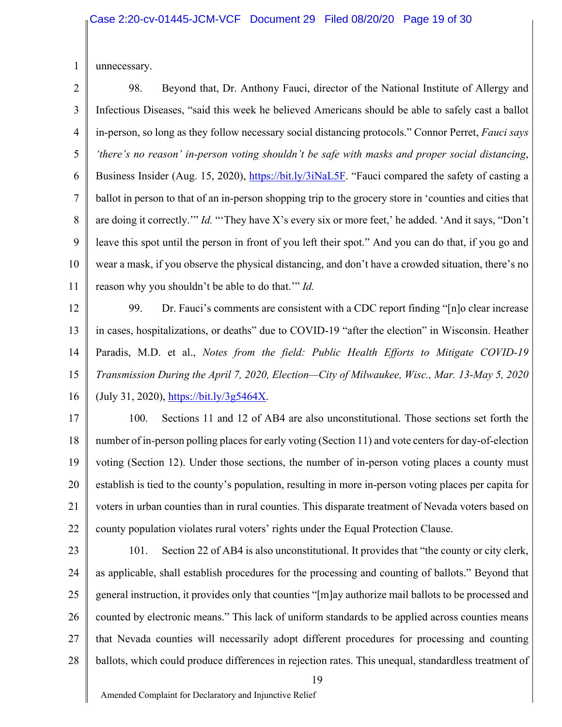1 unnecessary.

2 3 4 5 6 7 8 9 10 11 98. Beyond that, Dr. Anthony Fauci, director of the National Institute of Allergy and Infectious Diseases, "said this week he believed Americans should be able to safely cast a ballot in-person, so long as they follow necessary social distancing protocols." Connor Perret, *Fauci says 'there's no reason' in-person voting shouldn't be safe with masks and proper social distancing*, Business Insider (Aug. 15, 2020), https://bit.ly/3iNaL5F. "Fauci compared the safety of casting a ballot in person to that of an in-person shopping trip to the grocery store in 'counties and cities that are doing it correctly.'" *Id.* "'They have X's every six or more feet,' he added. 'And it says, "Don't leave this spot until the person in front of you left their spot." And you can do that, if you go and wear a mask, if you observe the physical distancing, and don't have a crowded situation, there's no reason why you shouldn't be able to do that.'" *Id.*

12 13 14 15 16 99. Dr. Fauci's comments are consistent with a CDC report finding "[n]o clear increase in cases, hospitalizations, or deaths" due to COVID-19 "after the election" in Wisconsin. Heather Paradis, M.D. et al., *Notes from the field: Public Health Efforts to Mitigate COVID-19 Transmission During the April 7, 2020, Election—City of Milwaukee, Wisc., Mar. 13-May 5, 2020* (July 31, 2020), https://bit.ly/3g5464X.

17 18 19 20 21 22 100. Sections 11 and 12 of AB4 are also unconstitutional. Those sections set forth the number of in-person polling places for early voting (Section 11) and vote centers for day-of-election voting (Section 12). Under those sections, the number of in-person voting places a county must establish is tied to the county's population, resulting in more in-person voting places per capita for voters in urban counties than in rural counties. This disparate treatment of Nevada voters based on county population violates rural voters' rights under the Equal Protection Clause.

23 24 25 26 27 28 101. Section 22 of AB4 is also unconstitutional. It provides that "the county or city clerk, as applicable, shall establish procedures for the processing and counting of ballots." Beyond that general instruction, it provides only that counties "[m]ay authorize mail ballots to be processed and counted by electronic means." This lack of uniform standards to be applied across counties means that Nevada counties will necessarily adopt different procedures for processing and counting ballots, which could produce differences in rejection rates. This unequal, standardless treatment of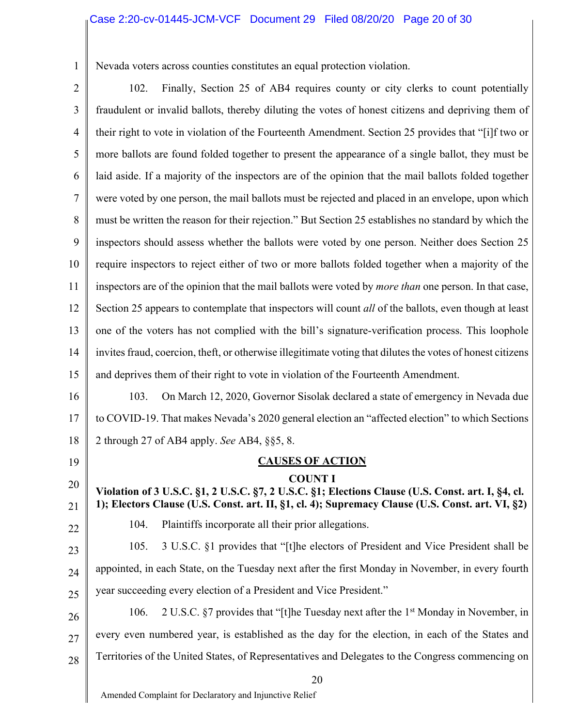## Case 2:20-cv-01445-JCM-VCF Document 29 Filed 08/20/20 Page 20 of 30

Nevada voters across counties constitutes an equal protection violation.

2

1 3 4 5 6 7 8 9 10 11 12 13 14 15 16 17 18 19 20 21 22 102. Finally, Section 25 of AB4 requires county or city clerks to count potentially fraudulent or invalid ballots, thereby diluting the votes of honest citizens and depriving them of their right to vote in violation of the Fourteenth Amendment. Section 25 provides that "[i]f two or more ballots are found folded together to present the appearance of a single ballot, they must be laid aside. If a majority of the inspectors are of the opinion that the mail ballots folded together were voted by one person, the mail ballots must be rejected and placed in an envelope, upon which must be written the reason for their rejection." But Section 25 establishes no standard by which the inspectors should assess whether the ballots were voted by one person. Neither does Section 25 require inspectors to reject either of two or more ballots folded together when a majority of the inspectors are of the opinion that the mail ballots were voted by *more than* one person. In that case, Section 25 appears to contemplate that inspectors will count *all* of the ballots, even though at least one of the voters has not complied with the bill's signature-verification process. This loophole invites fraud, coercion, theft, or otherwise illegitimate voting that dilutes the votes of honest citizens and deprives them of their right to vote in violation of the Fourteenth Amendment. 103. On March 12, 2020, Governor Sisolak declared a state of emergency in Nevada due to COVID-19. That makes Nevada's 2020 general election an "affected election" to which Sections 2 through 27 of AB4 apply. *See* AB4, §§5, 8. **CAUSES OF ACTION COUNT I Violation of 3 U.S.C. §1, 2 U.S.C. §7, 2 U.S.C. §1; Elections Clause (U.S. Const. art. I, §4, cl. 1); Electors Clause (U.S. Const. art. II, §1, cl. 4); Supremacy Clause (U.S. Const. art. VI, §2)**  104. Plaintiffs incorporate all their prior allegations.

23 24 25 105. 3 U.S.C. §1 provides that "[t]he electors of President and Vice President shall be appointed, in each State, on the Tuesday next after the first Monday in November, in every fourth year succeeding every election of a President and Vice President."

26 27 28 106. 2 U.S.C.  $\S7$  provides that "[t]he Tuesday next after the 1<sup>st</sup> Monday in November, in every even numbered year, is established as the day for the election, in each of the States and Territories of the United States, of Representatives and Delegates to the Congress commencing on

20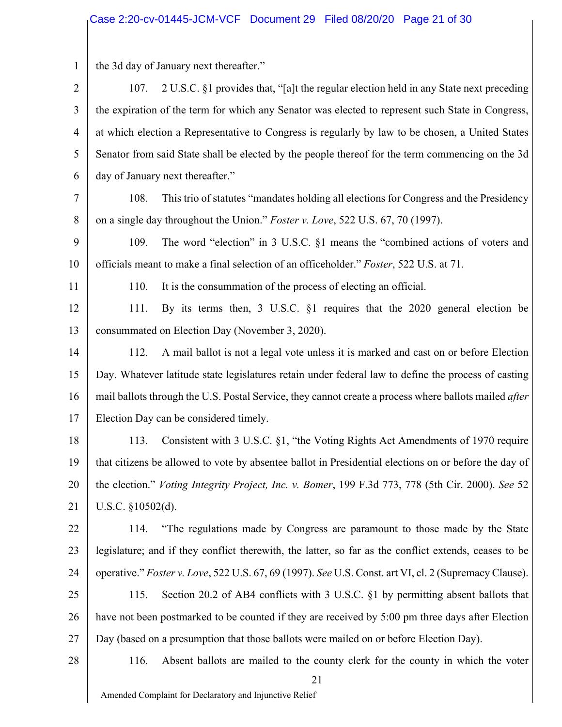1 2 3 4 5 6 7 8 9 10 11 12 13 14 15 16 17 18 19 20 21 22 23 24 25 26 27 28 21 the 3d day of January next thereafter." 107. 2 U.S.C. §1 provides that, "[a]t the regular election held in any State next preceding the expiration of the term for which any Senator was elected to represent such State in Congress, at which election a Representative to Congress is regularly by law to be chosen, a United States Senator from said State shall be elected by the people thereof for the term commencing on the 3d day of January next thereafter." 108. This trio of statutes "mandates holding all elections for Congress and the Presidency on a single day throughout the Union." *Foster v. Love*, 522 U.S. 67, 70 (1997). 109. The word "election" in 3 U.S.C. §1 means the "combined actions of voters and officials meant to make a final selection of an officeholder." *Foster*, 522 U.S. at 71. 110. It is the consummation of the process of electing an official. 111. By its terms then, 3 U.S.C. §1 requires that the 2020 general election be consummated on Election Day (November 3, 2020). 112. A mail ballot is not a legal vote unless it is marked and cast on or before Election Day. Whatever latitude state legislatures retain under federal law to define the process of casting mail ballots through the U.S. Postal Service, they cannot create a process where ballots mailed *after* Election Day can be considered timely. 113. Consistent with 3 U.S.C. §1, "the Voting Rights Act Amendments of 1970 require that citizens be allowed to vote by absentee ballot in Presidential elections on or before the day of the election." *Voting Integrity Project, Inc. v. Bomer*, 199 F.3d 773, 778 (5th Cir. 2000). *See* 52 U.S.C. §10502(d). 114. "The regulations made by Congress are paramount to those made by the State legislature; and if they conflict therewith, the latter, so far as the conflict extends, ceases to be operative." *Foster v. Love*, 522 U.S. 67, 69 (1997). *See* U.S. Const. art VI, cl. 2 (Supremacy Clause). 115. Section 20.2 of AB4 conflicts with 3 U.S.C. §1 by permitting absent ballots that have not been postmarked to be counted if they are received by 5:00 pm three days after Election Day (based on a presumption that those ballots were mailed on or before Election Day). 116. Absent ballots are mailed to the county clerk for the county in which the voter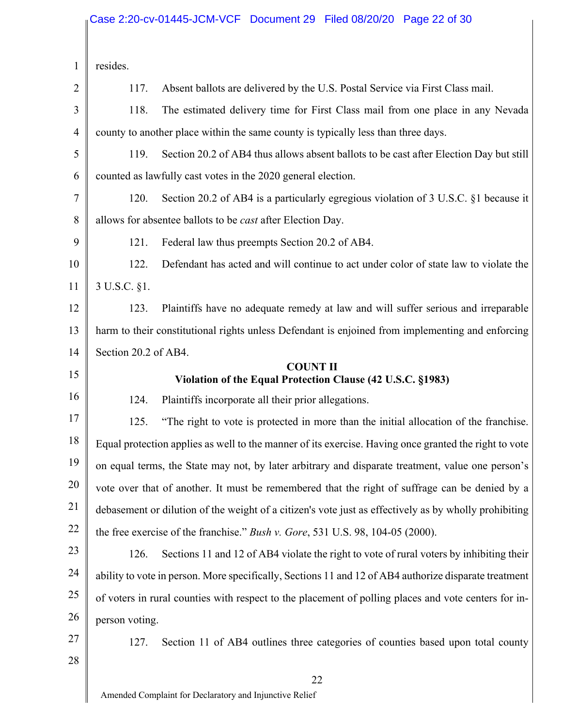# <sub>I</sub>Case 2:20-cv-01445-JCM-VCF Document 29 Filed 08/20/20 Page 22 of 30

| $\mathbf{1}$   | resides.                                                                                              |                                                                                                       |  |
|----------------|-------------------------------------------------------------------------------------------------------|-------------------------------------------------------------------------------------------------------|--|
| $\overline{2}$ | 117.                                                                                                  | Absent ballots are delivered by the U.S. Postal Service via First Class mail.                         |  |
| 3              | 118.                                                                                                  | The estimated delivery time for First Class mail from one place in any Nevada                         |  |
| $\overline{4}$ |                                                                                                       | county to another place within the same county is typically less than three days.                     |  |
| 5              | 119.                                                                                                  | Section 20.2 of AB4 thus allows absent ballots to be cast after Election Day but still                |  |
| 6              | counted as lawfully cast votes in the 2020 general election.                                          |                                                                                                       |  |
| 7              | 120.                                                                                                  | Section 20.2 of AB4 is a particularly egregious violation of 3 U.S.C. §1 because it                   |  |
| 8              | allows for absentee ballots to be <i>cast</i> after Election Day.                                     |                                                                                                       |  |
| 9              | 121.                                                                                                  | Federal law thus preempts Section 20.2 of AB4.                                                        |  |
| 10             | 122.                                                                                                  | Defendant has acted and will continue to act under color of state law to violate the                  |  |
| 11             | 3 U.S.C. §1.                                                                                          |                                                                                                       |  |
| 12             | 123.                                                                                                  | Plaintiffs have no adequate remedy at law and will suffer serious and irreparable                     |  |
| 13             |                                                                                                       | harm to their constitutional rights unless Defendant is enjoined from implementing and enforcing      |  |
| 14             | Section 20.2 of AB4.                                                                                  |                                                                                                       |  |
| 15             |                                                                                                       | <b>COUNT II</b><br>Violation of the Equal Protection Clause (42 U.S.C. §1983)                         |  |
| 16             | 124.                                                                                                  | Plaintiffs incorporate all their prior allegations.                                                   |  |
| 17             | 125.                                                                                                  | "The right to vote is protected in more than the initial allocation of the franchise.                 |  |
| 18             |                                                                                                       | Equal protection applies as well to the manner of its exercise. Having once granted the right to vote |  |
| 19             | on equal terms, the State may not, by later arbitrary and disparate treatment, value one person's     |                                                                                                       |  |
| 20             | vote over that of another. It must be remembered that the right of suffrage can be denied by a        |                                                                                                       |  |
| 21             | debasement or dilution of the weight of a citizen's vote just as effectively as by wholly prohibiting |                                                                                                       |  |
| 22             | the free exercise of the franchise." Bush v. Gore, 531 U.S. 98, 104-05 (2000).                        |                                                                                                       |  |
| 23             | 126.                                                                                                  | Sections 11 and 12 of AB4 violate the right to vote of rural voters by inhibiting their               |  |
| 24             |                                                                                                       | ability to vote in person. More specifically, Sections 11 and 12 of AB4 authorize disparate treatment |  |
| 25             |                                                                                                       | of voters in rural counties with respect to the placement of polling places and vote centers for in-  |  |
| 26             | person voting.                                                                                        |                                                                                                       |  |
| 27             | 127.                                                                                                  | Section 11 of AB4 outlines three categories of counties based upon total county                       |  |
| 28             |                                                                                                       |                                                                                                       |  |
|                |                                                                                                       | 22                                                                                                    |  |
|                |                                                                                                       | Amended Complaint for Declaratory and Injunctive Relief                                               |  |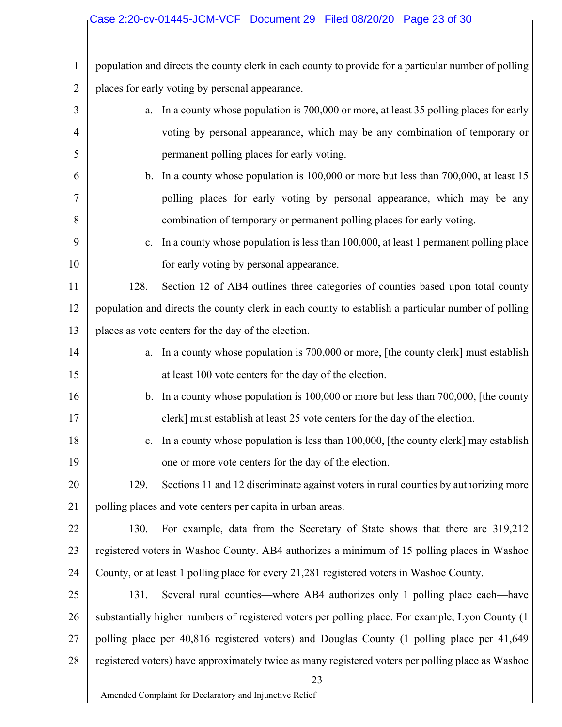# Case 2:20-cv-01445-JCM-VCF Document 29 Filed 08/20/20 Page 23 of 30

1 2 population and directs the county clerk in each county to provide for a particular number of polling places for early voting by personal appearance.

| 3  | In a county whose population is 700,000 or more, at least 35 polling places for early<br>a.        |  |  |
|----|----------------------------------------------------------------------------------------------------|--|--|
| 4  | voting by personal appearance, which may be any combination of temporary or                        |  |  |
| 5  | permanent polling places for early voting.                                                         |  |  |
| 6  | b. In a county whose population is 100,000 or more but less than 700,000, at least 15              |  |  |
| 7  | polling places for early voting by personal appearance, which may be any                           |  |  |
| 8  | combination of temporary or permanent polling places for early voting.                             |  |  |
| 9  | In a county whose population is less than 100,000, at least 1 permanent polling place<br>c.        |  |  |
| 10 | for early voting by personal appearance.                                                           |  |  |
| 11 | Section 12 of AB4 outlines three categories of counties based upon total county<br>128.            |  |  |
| 12 | population and directs the county clerk in each county to establish a particular number of polling |  |  |
| 13 | places as vote centers for the day of the election.                                                |  |  |
| 14 | In a county whose population is 700,000 or more, [the county clerk] must establish<br>a.           |  |  |
| 15 | at least 100 vote centers for the day of the election.                                             |  |  |
| 16 | b. In a county whose population is $100,000$ or more but less than $700,000$ , [the county         |  |  |
| 17 | clerk] must establish at least 25 vote centers for the day of the election.                        |  |  |
| 18 | In a county whose population is less than 100,000, [the county clerk] may establish<br>c.          |  |  |
| 19 | one or more vote centers for the day of the election.                                              |  |  |
| 20 | Sections 11 and 12 discriminate against voters in rural counties by authorizing more<br>129.       |  |  |
| 21 | polling places and vote centers per capita in urban areas.                                         |  |  |
| 22 | For example, data from the Secretary of State shows that there are 319,212<br>130.                 |  |  |
| 23 | registered voters in Washoe County. AB4 authorizes a minimum of 15 polling places in Washoe        |  |  |
| 24 | County, or at least 1 polling place for every 21,281 registered voters in Washoe County.           |  |  |
| 25 | Several rural counties—where AB4 authorizes only 1 polling place each—have<br>131.                 |  |  |
| 26 | substantially higher numbers of registered voters per polling place. For example, Lyon County (1)  |  |  |
| 27 | polling place per 40,816 registered voters) and Douglas County (1 polling place per 41,649         |  |  |
| 28 | registered voters) have approximately twice as many registered voters per polling place as Washoe  |  |  |
|    | 23                                                                                                 |  |  |
|    | Amended Complaint for Declaratory and Injunctive Relief                                            |  |  |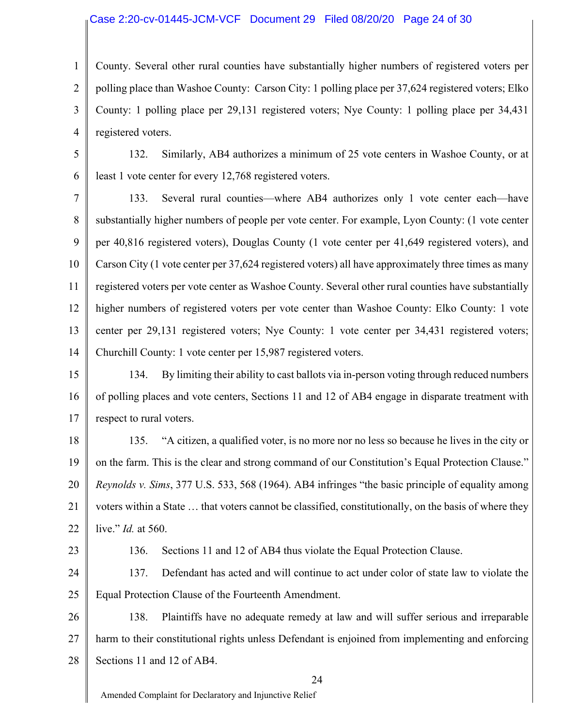### Case 2:20-cv-01445-JCM-VCF Document 29 Filed 08/20/20 Page 24 of 30

1 2 3 4 County. Several other rural counties have substantially higher numbers of registered voters per polling place than Washoe County: Carson City: 1 polling place per 37,624 registered voters; Elko County: 1 polling place per 29,131 registered voters; Nye County: 1 polling place per 34,431 registered voters.

5 6 132. Similarly, AB4 authorizes a minimum of 25 vote centers in Washoe County, or at least 1 vote center for every 12,768 registered voters.

7 8 9 10 11 12 13 14 133. Several rural counties—where AB4 authorizes only 1 vote center each—have substantially higher numbers of people per vote center. For example, Lyon County: (1 vote center per 40,816 registered voters), Douglas County (1 vote center per 41,649 registered voters), and Carson City (1 vote center per 37,624 registered voters) all have approximately three times as many registered voters per vote center as Washoe County. Several other rural counties have substantially higher numbers of registered voters per vote center than Washoe County: Elko County: 1 vote center per 29,131 registered voters; Nye County: 1 vote center per 34,431 registered voters; Churchill County: 1 vote center per 15,987 registered voters.

15 16 17 134. By limiting their ability to cast ballots via in-person voting through reduced numbers of polling places and vote centers, Sections 11 and 12 of AB4 engage in disparate treatment with respect to rural voters.

18 19 20 21 22 135. "A citizen, a qualified voter, is no more nor no less so because he lives in the city or on the farm. This is the clear and strong command of our Constitution's Equal Protection Clause." *Reynolds v. Sims*, 377 U.S. 533, 568 (1964). AB4 infringes "the basic principle of equality among voters within a State … that voters cannot be classified, constitutionally, on the basis of where they live." *Id.* at 560.

23

136. Sections 11 and 12 of AB4 thus violate the Equal Protection Clause.

24 25 137. Defendant has acted and will continue to act under color of state law to violate the Equal Protection Clause of the Fourteenth Amendment.

26 27 28 138. Plaintiffs have no adequate remedy at law and will suffer serious and irreparable harm to their constitutional rights unless Defendant is enjoined from implementing and enforcing Sections 11 and 12 of AB4.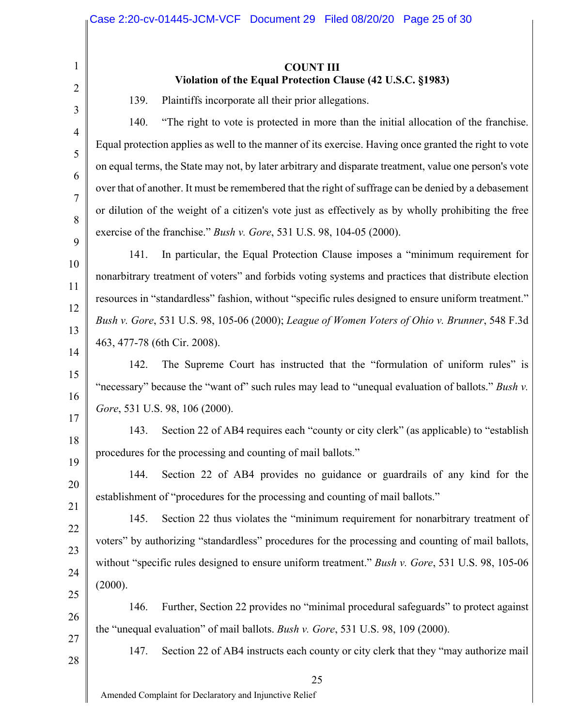### **COUNT III Violation of the Equal Protection Clause (42 U.S.C. §1983)**

139. Plaintiffs incorporate all their prior allegations.

140. "The right to vote is protected in more than the initial allocation of the franchise. Equal protection applies as well to the manner of its exercise. Having once granted the right to vote on equal terms, the State may not, by later arbitrary and disparate treatment, value one person's vote over that of another. It must be remembered that the right of suffrage can be denied by a debasement or dilution of the weight of a citizen's vote just as effectively as by wholly prohibiting the free exercise of the franchise." *Bush v. Gore*, 531 U.S. 98, 104-05 (2000).

141. In particular, the Equal Protection Clause imposes a "minimum requirement for nonarbitrary treatment of voters" and forbids voting systems and practices that distribute election resources in "standardless" fashion, without "specific rules designed to ensure uniform treatment." *Bush v. Gore*, 531 U.S. 98, 105-06 (2000); *League of Women Voters of Ohio v. Brunner*, 548 F.3d 463, 477-78 (6th Cir. 2008).

142. The Supreme Court has instructed that the "formulation of uniform rules" is "necessary" because the "want of" such rules may lead to "unequal evaluation of ballots." *Bush v*. *Gore*, 531 U.S. 98, 106 (2000).

143. Section 22 of AB4 requires each "county or city clerk" (as applicable) to "establish procedures for the processing and counting of mail ballots."

144. Section 22 of AB4 provides no guidance or guardrails of any kind for the establishment of "procedures for the processing and counting of mail ballots."

145. Section 22 thus violates the "minimum requirement for nonarbitrary treatment of voters" by authorizing "standardless" procedures for the processing and counting of mail ballots, without "specific rules designed to ensure uniform treatment." *Bush v. Gore*, 531 U.S. 98, 105-06 (2000).

146. Further, Section 22 provides no "minimal procedural safeguards" to protect against the "unequal evaluation" of mail ballots. *Bush v. Gore*, 531 U.S. 98, 109 (2000).

147. Section 22 of AB4 instructs each county or city clerk that they "may authorize mail

1

2

3

4

5

6

7

8

9

10

11

12

13

14

15

16

17

18

19

20

21

22

23

24

25

26

27

28

25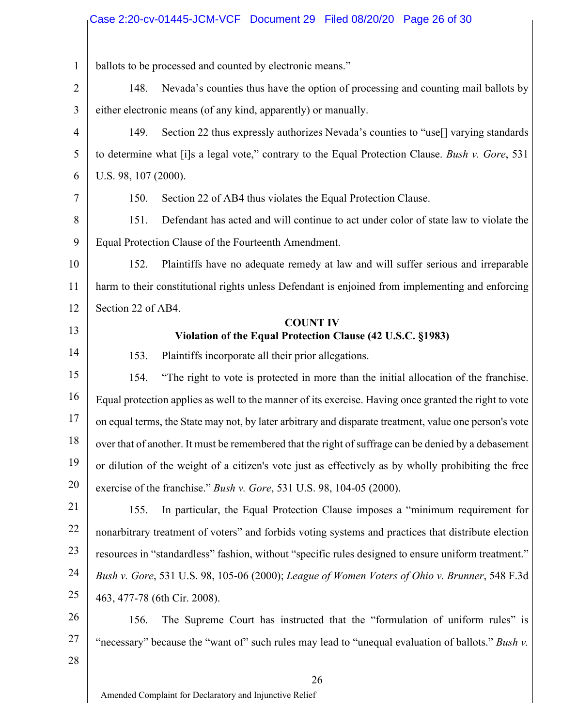|                | Case 2:20-cv-01445-JCM-VCF Document 29 Filed 08/20/20 Page 26 of 30                                    |  |  |
|----------------|--------------------------------------------------------------------------------------------------------|--|--|
| $\mathbf{1}$   |                                                                                                        |  |  |
|                | ballots to be processed and counted by electronic means."                                              |  |  |
| $\overline{2}$ | Nevada's counties thus have the option of processing and counting mail ballots by<br>148.              |  |  |
| 3              | either electronic means (of any kind, apparently) or manually.                                         |  |  |
| $\overline{4}$ | Section 22 thus expressly authorizes Nevada's counties to "use[] varying standards<br>149.             |  |  |
| 5              | to determine what [i]s a legal vote," contrary to the Equal Protection Clause. Bush v. Gore, 531       |  |  |
| 6              | U.S. 98, 107 (2000).                                                                                   |  |  |
| 7              | Section 22 of AB4 thus violates the Equal Protection Clause.<br>150.                                   |  |  |
| 8              | 151.<br>Defendant has acted and will continue to act under color of state law to violate the           |  |  |
| 9              | Equal Protection Clause of the Fourteenth Amendment.                                                   |  |  |
| 10             | Plaintiffs have no adequate remedy at law and will suffer serious and irreparable<br>152.              |  |  |
| 11             | harm to their constitutional rights unless Defendant is enjoined from implementing and enforcing       |  |  |
| 12             | Section 22 of AB4.                                                                                     |  |  |
| 13             | <b>COUNT IV</b><br>Violation of the Equal Protection Clause (42 U.S.C. §1983)                          |  |  |
| 14             | 153.<br>Plaintiffs incorporate all their prior allegations.                                            |  |  |
| 15             | "The right to vote is protected in more than the initial allocation of the franchise.<br>154.          |  |  |
| 16             | Equal protection applies as well to the manner of its exercise. Having once granted the right to vote  |  |  |
| 17             | on equal terms, the State may not, by later arbitrary and disparate treatment, value one person's vote |  |  |
| 18             | over that of another. It must be remembered that the right of suffrage can be denied by a debasement   |  |  |
| 19             | or dilution of the weight of a citizen's vote just as effectively as by wholly prohibiting the free    |  |  |
| 20             | exercise of the franchise." Bush v. Gore, 531 U.S. 98, 104-05 (2000).                                  |  |  |
| 21             | In particular, the Equal Protection Clause imposes a "minimum requirement for<br>155.                  |  |  |
| 22             | nonarbitrary treatment of voters" and forbids voting systems and practices that distribute election    |  |  |
| 23             | resources in "standardless" fashion, without "specific rules designed to ensure uniform treatment."    |  |  |
| 24             | Bush v. Gore, 531 U.S. 98, 105-06 (2000); League of Women Voters of Ohio v. Brunner, 548 F.3d          |  |  |
| 25             | 463, 477-78 (6th Cir. 2008).                                                                           |  |  |
| 26             | The Supreme Court has instructed that the "formulation of uniform rules" is<br>156.                    |  |  |
| 27             | "necessary" because the "want of" such rules may lead to "unequal evaluation of ballots." Bush v.      |  |  |
| 28             |                                                                                                        |  |  |
|                | 26                                                                                                     |  |  |

Amended Complaint for Declaratory and Injunctive Relief

 $\parallel$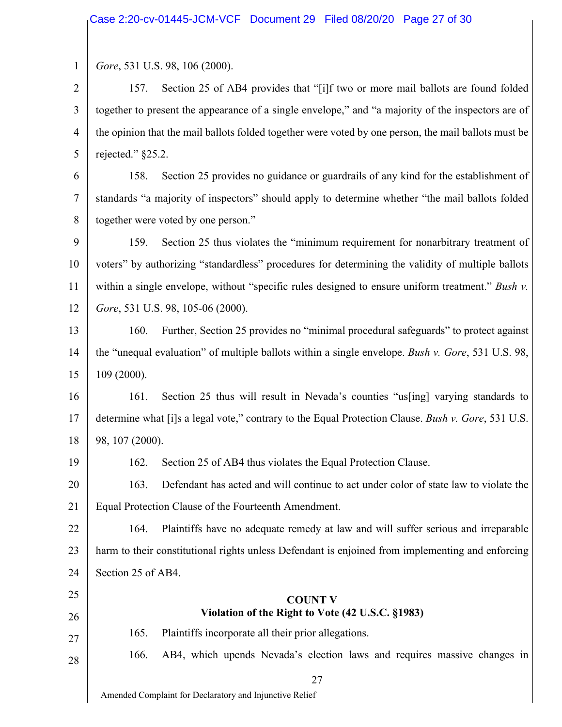1 *Gore*, 531 U.S. 98, 106 (2000).

2 3 4 5 157. Section 25 of AB4 provides that "[i]f two or more mail ballots are found folded together to present the appearance of a single envelope," and "a majority of the inspectors are of the opinion that the mail ballots folded together were voted by one person, the mail ballots must be rejected." §25.2.

6 7 8 158. Section 25 provides no guidance or guardrails of any kind for the establishment of standards "a majority of inspectors" should apply to determine whether "the mail ballots folded together were voted by one person."

9 10 11 12 159. Section 25 thus violates the "minimum requirement for nonarbitrary treatment of voters" by authorizing "standardless" procedures for determining the validity of multiple ballots within a single envelope, without "specific rules designed to ensure uniform treatment." *Bush v. Gore*, 531 U.S. 98, 105-06 (2000).

13 14 15 160. Further, Section 25 provides no "minimal procedural safeguards" to protect against the "unequal evaluation" of multiple ballots within a single envelope. *Bush v. Gore*, 531 U.S. 98, 109 (2000).

16 17 18 161. Section 25 thus will result in Nevada's counties "us[ing] varying standards to determine what [i]s a legal vote," contrary to the Equal Protection Clause. *Bush v. Gore*, 531 U.S. 98, 107 (2000).

19

162. Section 25 of AB4 thus violates the Equal Protection Clause.

20 21 163. Defendant has acted and will continue to act under color of state law to violate the Equal Protection Clause of the Fourteenth Amendment.

22 23 24 164. Plaintiffs have no adequate remedy at law and will suffer serious and irreparable harm to their constitutional rights unless Defendant is enjoined from implementing and enforcing Section 25 of AB4.

# **COUNT V Violation of the Right to Vote (42 U.S.C. §1983)**

27

28

25

26

166. AB4, which upends Nevada's election laws and requires massive changes in

27

Amended Complaint for Declaratory and Injunctive Relief

165. Plaintiffs incorporate all their prior allegations.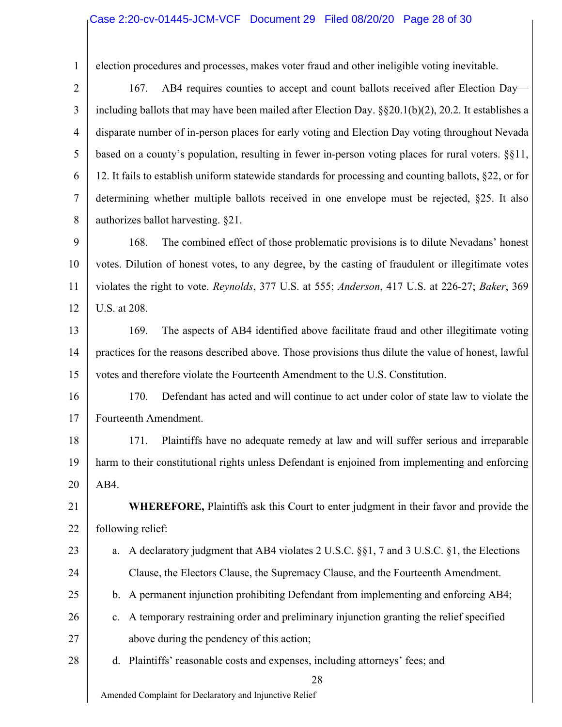# <sub>Il</sub> Case 2:20-cv-01445-JCM-VCF Document 29 Filed 08/20/20 Page 28 of 30

| $\mathbf{1}$   | election procedures and processes, makes voter fraud and other ineligible voting inevitable.                 |  |  |  |
|----------------|--------------------------------------------------------------------------------------------------------------|--|--|--|
| $\overline{2}$ | AB4 requires counties to accept and count ballots received after Election Day—<br>167.                       |  |  |  |
| 3              | including ballots that may have been mailed after Election Day. $\S$ $\S$ 20.1(b)(2), 20.2. It establishes a |  |  |  |
| $\overline{4}$ | disparate number of in-person places for early voting and Election Day voting throughout Nevada              |  |  |  |
| 5              | based on a county's population, resulting in fewer in-person voting places for rural voters. §§11,           |  |  |  |
| 6              | 12. It fails to establish uniform statewide standards for processing and counting ballots, §22, or for       |  |  |  |
| $\overline{7}$ | determining whether multiple ballots received in one envelope must be rejected, §25. It also                 |  |  |  |
| 8              | authorizes ballot harvesting. §21.                                                                           |  |  |  |
| 9              | The combined effect of those problematic provisions is to dilute Nevadans' honest<br>168.                    |  |  |  |
| 10             | votes. Dilution of honest votes, to any degree, by the casting of fraudulent or illegitimate votes           |  |  |  |
| 11             | violates the right to vote. Reynolds, 377 U.S. at 555; Anderson, 417 U.S. at 226-27; Baker, 369              |  |  |  |
| 12             | U.S. at 208.                                                                                                 |  |  |  |
| 13             | The aspects of AB4 identified above facilitate fraud and other illegitimate voting<br>169.                   |  |  |  |
| 14             | practices for the reasons described above. Those provisions thus dilute the value of honest, lawful          |  |  |  |
| 15             | votes and therefore violate the Fourteenth Amendment to the U.S. Constitution.                               |  |  |  |
| 16             | Defendant has acted and will continue to act under color of state law to violate the<br>170.                 |  |  |  |
| 17             | Fourteenth Amendment.                                                                                        |  |  |  |
| 18             | Plaintiffs have no adequate remedy at law and will suffer serious and irreparable<br>171.                    |  |  |  |
| 19             | harm to their constitutional rights unless Defendant is enjoined from implementing and enforcing             |  |  |  |
| 20             | AB4.                                                                                                         |  |  |  |
| 21             | <b>WHEREFORE, Plaintiffs ask this Court to enter judgment in their favor and provide the</b>                 |  |  |  |
| 22             | following relief:                                                                                            |  |  |  |
| 23             | a. A declaratory judgment that AB4 violates 2 U.S.C. §§1, 7 and 3 U.S.C. §1, the Elections                   |  |  |  |
| 24             | Clause, the Electors Clause, the Supremacy Clause, and the Fourteenth Amendment.                             |  |  |  |
| 25             | b. A permanent injunction prohibiting Defendant from implementing and enforcing AB4;                         |  |  |  |
| 26             | A temporary restraining order and preliminary injunction granting the relief specified<br>$\mathbf{c}$ .     |  |  |  |
| 27             | above during the pendency of this action;                                                                    |  |  |  |
| 28             | d. Plaintiffs' reasonable costs and expenses, including attorneys' fees; and                                 |  |  |  |
|                | 28                                                                                                           |  |  |  |
|                | Amended Complaint for Declaratory and Injunctive Relief                                                      |  |  |  |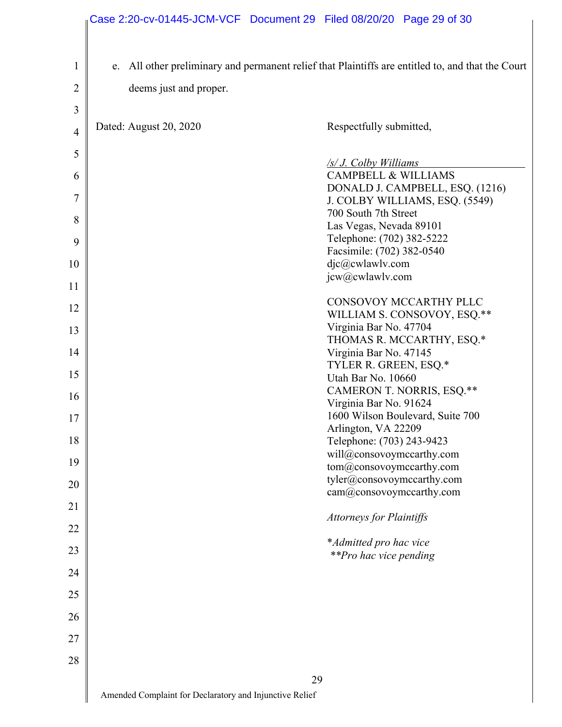|                | Case 2:20-cv-01445-JCM-VCF Document 29 Filed 08/20/20 Page 29 of 30 |    |                                                                  |                                                                                                   |
|----------------|---------------------------------------------------------------------|----|------------------------------------------------------------------|---------------------------------------------------------------------------------------------------|
|                |                                                                     |    |                                                                  |                                                                                                   |
| $\mathbf{1}$   |                                                                     |    |                                                                  | e. All other preliminary and permanent relief that Plaintiffs are entitled to, and that the Court |
| 2              | deems just and proper.                                              |    |                                                                  |                                                                                                   |
| 3              |                                                                     |    |                                                                  |                                                                                                   |
| $\overline{4}$ | Dated: August 20, 2020                                              |    | Respectfully submitted,                                          |                                                                                                   |
| 5              |                                                                     |    |                                                                  |                                                                                                   |
| 6              |                                                                     |    | $\frac{1}{s}$ . Colby Williams<br><b>CAMPBELL &amp; WILLIAMS</b> |                                                                                                   |
|                |                                                                     |    |                                                                  | DONALD J. CAMPBELL, ESQ. (1216)                                                                   |
| 7              |                                                                     |    | 700 South 7th Street                                             | J. COLBY WILLIAMS, ESQ. (5549)                                                                    |
| 8              |                                                                     |    | Las Vegas, Nevada 89101                                          |                                                                                                   |
| 9              |                                                                     |    | Telephone: (702) 382-5222                                        |                                                                                                   |
|                |                                                                     |    | Facsimile: (702) 382-0540                                        |                                                                                                   |
| 10             |                                                                     |    | djc@cwlawlv.com                                                  |                                                                                                   |
| 11             |                                                                     |    | jcw@cwlawlv.com                                                  |                                                                                                   |
| 12             |                                                                     |    |                                                                  | CONSOVOY MCCARTHY PLLC                                                                            |
|                |                                                                     |    |                                                                  | WILLIAM S. CONSOVOY, ESQ.**                                                                       |
| 13             |                                                                     |    | Virginia Bar No. 47704                                           |                                                                                                   |
| 14             |                                                                     |    | Virginia Bar No. 47145                                           | THOMAS R. MCCARTHY, ESQ.*                                                                         |
|                |                                                                     |    | TYLER R. GREEN, ESQ.*                                            |                                                                                                   |
| 15             |                                                                     |    | Utah Bar No. 10660                                               |                                                                                                   |
| 16             |                                                                     |    |                                                                  | CAMERON T. NORRIS, ESQ.**                                                                         |
|                |                                                                     |    | Virginia Bar No. 91624                                           |                                                                                                   |
| 17             |                                                                     |    | Arlington, VA 22209                                              | 1600 Wilson Boulevard, Suite 700                                                                  |
| 18             |                                                                     |    | Telephone: (703) 243-9423                                        |                                                                                                   |
|                |                                                                     |    | will@consovoymccarthy.com                                        |                                                                                                   |
| 19             |                                                                     |    | tom@consovoymccarthy.com                                         |                                                                                                   |
| 20             |                                                                     |    | tyler@consovoymccarthy.com                                       |                                                                                                   |
| 21             |                                                                     |    | cam@consovoymccarthy.com                                         |                                                                                                   |
| 22             |                                                                     |    | <b>Attorneys for Plaintiffs</b>                                  |                                                                                                   |
| 23             |                                                                     |    | *Admitted pro hac vice                                           |                                                                                                   |
| 24             |                                                                     |    | <i>**Pro hac vice pending</i>                                    |                                                                                                   |
| 25             |                                                                     |    |                                                                  |                                                                                                   |
| 26             |                                                                     |    |                                                                  |                                                                                                   |
| 27             |                                                                     |    |                                                                  |                                                                                                   |
| 28             |                                                                     |    |                                                                  |                                                                                                   |
|                |                                                                     | 29 |                                                                  |                                                                                                   |
|                | Amended Complaint for Declaratory and Injunctive Relief             |    |                                                                  |                                                                                                   |